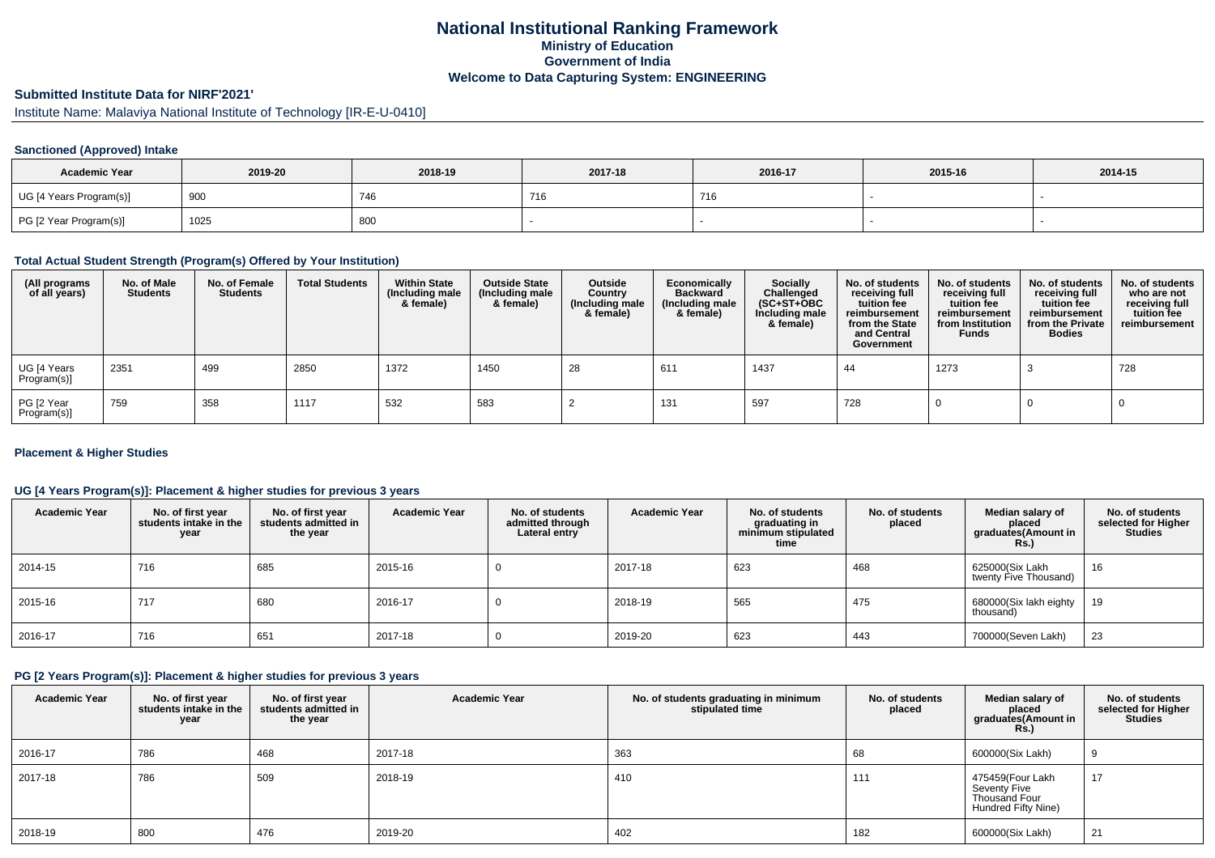## **National Institutional Ranking FrameworkMinistry of Education Government of IndiaWelcome to Data Capturing System: ENGINEERING**

## **Submitted Institute Data for NIRF'2021'**

Institute Name: Malaviya National Institute of Technology [IR-E-U-0410]

#### **Sanctioned (Approved) Intake**

| <b>Academic Year</b>    | 2019-20 | 2018-19 | 2017-18 | 2016-17 | 2015-16 | 2014-15 |
|-------------------------|---------|---------|---------|---------|---------|---------|
| UG [4 Years Program(s)] | 900     | 746     | 741     | 716     |         |         |
| PG [2 Year Program(s)]  | 1025    | 800     |         |         |         |         |

#### **Total Actual Student Strength (Program(s) Offered by Your Institution)**

| (All programs<br>of all years) | No. of Male<br><b>Students</b> | No. of Female<br><b>Students</b> | <b>Total Students</b> | <b>Within State</b><br>(Including male<br>& female) | <b>Outside State</b><br>(Including male<br>& female) | Outside<br>Country<br>(Including male<br>& female) | Economically<br><b>Backward</b><br>(Including male<br>& female) | Socially<br>Challenged<br>$(SC+ST+OBC)$<br>Including male<br>& female) | No. of students<br>receiving full<br>tuition fee<br>reimbursement<br>from the State<br>and Central<br>Government | No. of students<br>receiving full<br>tuition fee<br>reimbursement<br>from Institution<br><b>Funds</b> | No. of students<br>receiving full<br>tuition fee<br>reimbursement<br>from the Private<br><b>Bodies</b> | No. of students<br>who are not<br>receiving full<br>tuition fee<br>reimbursement |
|--------------------------------|--------------------------------|----------------------------------|-----------------------|-----------------------------------------------------|------------------------------------------------------|----------------------------------------------------|-----------------------------------------------------------------|------------------------------------------------------------------------|------------------------------------------------------------------------------------------------------------------|-------------------------------------------------------------------------------------------------------|--------------------------------------------------------------------------------------------------------|----------------------------------------------------------------------------------|
| UG [4 Years<br>Program(s)]     | 2351                           | 499                              | 2850                  | 1372                                                | 1450                                                 | 28                                                 | 611                                                             | 1437                                                                   | 44                                                                                                               | 1273                                                                                                  |                                                                                                        | 728                                                                              |
| PG [2 Year<br>Program(s)]      | 759                            | 358                              | 1117                  | 532                                                 | 583                                                  |                                                    | 131                                                             | 597                                                                    | 728                                                                                                              |                                                                                                       |                                                                                                        |                                                                                  |

#### **Placement & Higher Studies**

#### **UG [4 Years Program(s)]: Placement & higher studies for previous 3 years**

| <b>Academic Year</b> | No. of first year<br>students intake in the<br>year | No. of first vear<br>students admitted in<br>the year | <b>Academic Year</b> | No. of students<br>admitted through<br>Lateral entry | <b>Academic Year</b> | No. of students<br>graduating in<br>minimum stipulated<br>time | No. of students<br>placed | Median salary of<br>placed<br>graduates(Amount in<br>Rs. | No. of students<br>selected for Higher<br><b>Studies</b> |
|----------------------|-----------------------------------------------------|-------------------------------------------------------|----------------------|------------------------------------------------------|----------------------|----------------------------------------------------------------|---------------------------|----------------------------------------------------------|----------------------------------------------------------|
| 2014-15              | 716                                                 | 685                                                   | 2015-16              | υ                                                    | 2017-18              | 623                                                            | 468                       | 625000(Six Lakh<br>twenty Five Thousand)                 | 16                                                       |
| 2015-16              | 717                                                 | 680                                                   | 2016-17              |                                                      | 2018-19              | 565                                                            | 475                       | 680000(Six lakh eighty<br>thousand)                      | 19                                                       |
| 2016-17              | 716                                                 | 651                                                   | 2017-18              |                                                      | 2019-20              | 623                                                            | 443                       | 700000(Seven Lakh)                                       | 23                                                       |

#### **PG [2 Years Program(s)]: Placement & higher studies for previous 3 years**

| <b>Academic Year</b> | No. of first year<br>students intake in the<br>year | No. of first year<br>students admitted in<br>the year | <b>Academic Year</b> | No. of students graduating in minimum<br>stipulated time | No. of students<br>placed | Median salary of<br>placed<br>graduates(Amount in<br><b>Rs.)</b>         | No. of students<br>selected for Higher<br><b>Studies</b> |
|----------------------|-----------------------------------------------------|-------------------------------------------------------|----------------------|----------------------------------------------------------|---------------------------|--------------------------------------------------------------------------|----------------------------------------------------------|
| 2016-17              | 786                                                 | 468                                                   | 2017-18              | 363                                                      | 68                        | 600000(Six Lakh)                                                         |                                                          |
| 2017-18              | 786                                                 | 509                                                   | 2018-19              | 410                                                      | 111                       | 475459(Four Lakh<br>Seventy Five<br>Thousand Four<br>Hundred Fifty Nine) | 17                                                       |
| 2018-19              | 800                                                 | 476                                                   | 2019-20              | 402                                                      | 182                       | 600000(Six Lakh)                                                         | 21                                                       |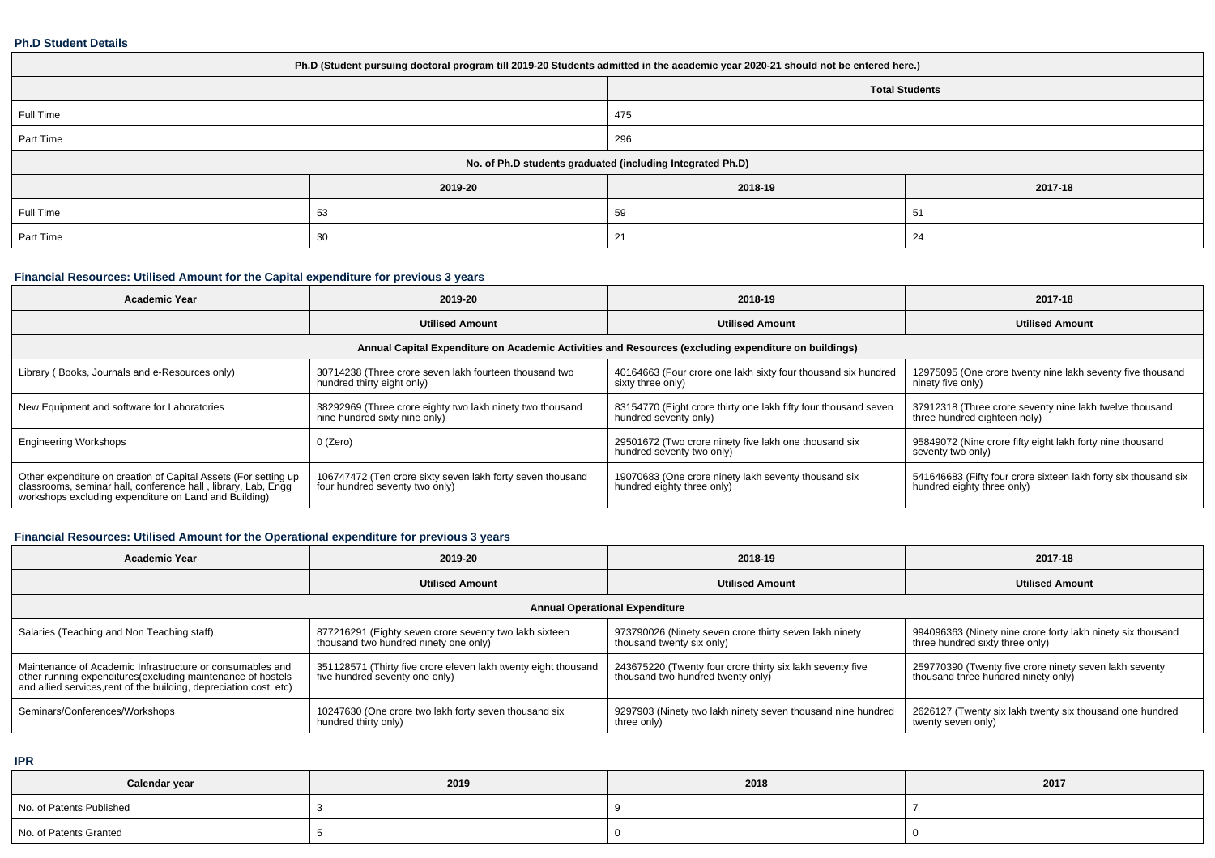#### **Ph.D Student Details**

| Ph.D (Student pursuing doctoral program till 2019-20 Students admitted in the academic year 2020-21 should not be entered here.) |         |                                                            |         |  |  |  |  |
|----------------------------------------------------------------------------------------------------------------------------------|---------|------------------------------------------------------------|---------|--|--|--|--|
|                                                                                                                                  |         | <b>Total Students</b>                                      |         |  |  |  |  |
| Full Time                                                                                                                        |         | 475                                                        |         |  |  |  |  |
| Part Time                                                                                                                        |         | 296                                                        |         |  |  |  |  |
|                                                                                                                                  |         | No. of Ph.D students graduated (including Integrated Ph.D) |         |  |  |  |  |
|                                                                                                                                  | 2019-20 | 2018-19                                                    | 2017-18 |  |  |  |  |
| Full Time                                                                                                                        | 53      | 59<br>51                                                   |         |  |  |  |  |
| Part Time                                                                                                                        | 30      | 24<br>21                                                   |         |  |  |  |  |

# **Financial Resources: Utilised Amount for the Capital expenditure for previous 3 years**

| <b>Academic Year</b>                                                                                                                                                                      | 2019-20                                                                                      | 2018-19                                                                                  | 2017-18                                                                                       |  |  |  |  |  |
|-------------------------------------------------------------------------------------------------------------------------------------------------------------------------------------------|----------------------------------------------------------------------------------------------|------------------------------------------------------------------------------------------|-----------------------------------------------------------------------------------------------|--|--|--|--|--|
|                                                                                                                                                                                           | <b>Utilised Amount</b>                                                                       | <b>Utilised Amount</b>                                                                   | <b>Utilised Amount</b>                                                                        |  |  |  |  |  |
| Annual Capital Expenditure on Academic Activities and Resources (excluding expenditure on buildings)                                                                                      |                                                                                              |                                                                                          |                                                                                               |  |  |  |  |  |
| Library (Books, Journals and e-Resources only)                                                                                                                                            | 30714238 (Three crore seven lakh fourteen thousand two<br>hundred thirty eight only)         | 40164663 (Four crore one lakh sixty four thousand six hundred<br>sixty three only)       | 12975095 (One crore twenty nine lakh seventy five thousand<br>ninety five only)               |  |  |  |  |  |
| New Equipment and software for Laboratories                                                                                                                                               | 38292969 (Three crore eighty two lakh ninety two thousand<br>nine hundred sixty nine only)   | 83154770 (Eight crore thirty one lakh fifty four thousand seven<br>hundred seventy only) | 37912318 (Three crore seventy nine lakh twelve thousand<br>three hundred eighteen noly)       |  |  |  |  |  |
| <b>Engineering Workshops</b>                                                                                                                                                              | 0 (Zero)                                                                                     | 29501672 (Two crore ninety five lakh one thousand six<br>hundred seventy two only)       | 95849072 (Nine crore fifty eight lakh forty nine thousand<br>seventy two only)                |  |  |  |  |  |
| Other expenditure on creation of Capital Assets (For setting up<br>classrooms, seminar hall, conference hall, library, Lab, Engg<br>workshops excluding expenditure on Land and Building) | 106747472 (Ten crore sixty seven lakh forty seven thousand<br>four hundred seventy two only) | 19070683 (One crore ninety lakh seventy thousand six<br>hundred eighty three only)       | 541646683 (Fifty four crore sixteen lakh forty six thousand six<br>hundred eighty three only) |  |  |  |  |  |

# **Financial Resources: Utilised Amount for the Operational expenditure for previous 3 years**

| <b>Academic Year</b>                                                                                                                                                                            | 2019-20                                                                                          | 2018-19                                                                                        | 2017-18                                                                                        |  |  |  |  |  |  |
|-------------------------------------------------------------------------------------------------------------------------------------------------------------------------------------------------|--------------------------------------------------------------------------------------------------|------------------------------------------------------------------------------------------------|------------------------------------------------------------------------------------------------|--|--|--|--|--|--|
|                                                                                                                                                                                                 | <b>Utilised Amount</b>                                                                           | <b>Utilised Amount</b>                                                                         | <b>Utilised Amount</b>                                                                         |  |  |  |  |  |  |
|                                                                                                                                                                                                 | <b>Annual Operational Expenditure</b>                                                            |                                                                                                |                                                                                                |  |  |  |  |  |  |
| Salaries (Teaching and Non Teaching staff)                                                                                                                                                      | 877216291 (Eighty seven crore seventy two lakh sixteen<br>thousand two hundred ninety one only)  | 973790026 (Ninety seven crore thirty seven lakh ninety<br>thousand twenty six only)            | 994096363 (Ninety nine crore forty lakh ninety six thousand<br>three hundred sixty three only) |  |  |  |  |  |  |
| Maintenance of Academic Infrastructure or consumables and<br>other running expenditures (excluding maintenance of hostels<br>and allied services, rent of the building, depreciation cost, etc) | 351128571 (Thirty five crore eleven lakh twenty eight thousand<br>five hundred seventy one only) | 243675220 (Twenty four crore thirty six lakh seventy five<br>thousand two hundred twenty only) | 259770390 (Twenty five crore ninety seven lakh seventy<br>thousand three hundred ninety only)  |  |  |  |  |  |  |
| Seminars/Conferences/Workshops                                                                                                                                                                  | 10247630 (One crore two lakh forty seven thousand six<br>hundred thirty only)                    | 9297903 (Ninety two lakh ninety seven thousand nine hundred<br>three only)                     | 2626127 (Twenty six lakh twenty six thousand one hundred<br>twenty seven only)                 |  |  |  |  |  |  |

**IPR**

| Calendar year            | 2019 | 2018 | 2017 |  |
|--------------------------|------|------|------|--|
| No. of Patents Published |      |      |      |  |
| No. of Patents Granted   |      |      |      |  |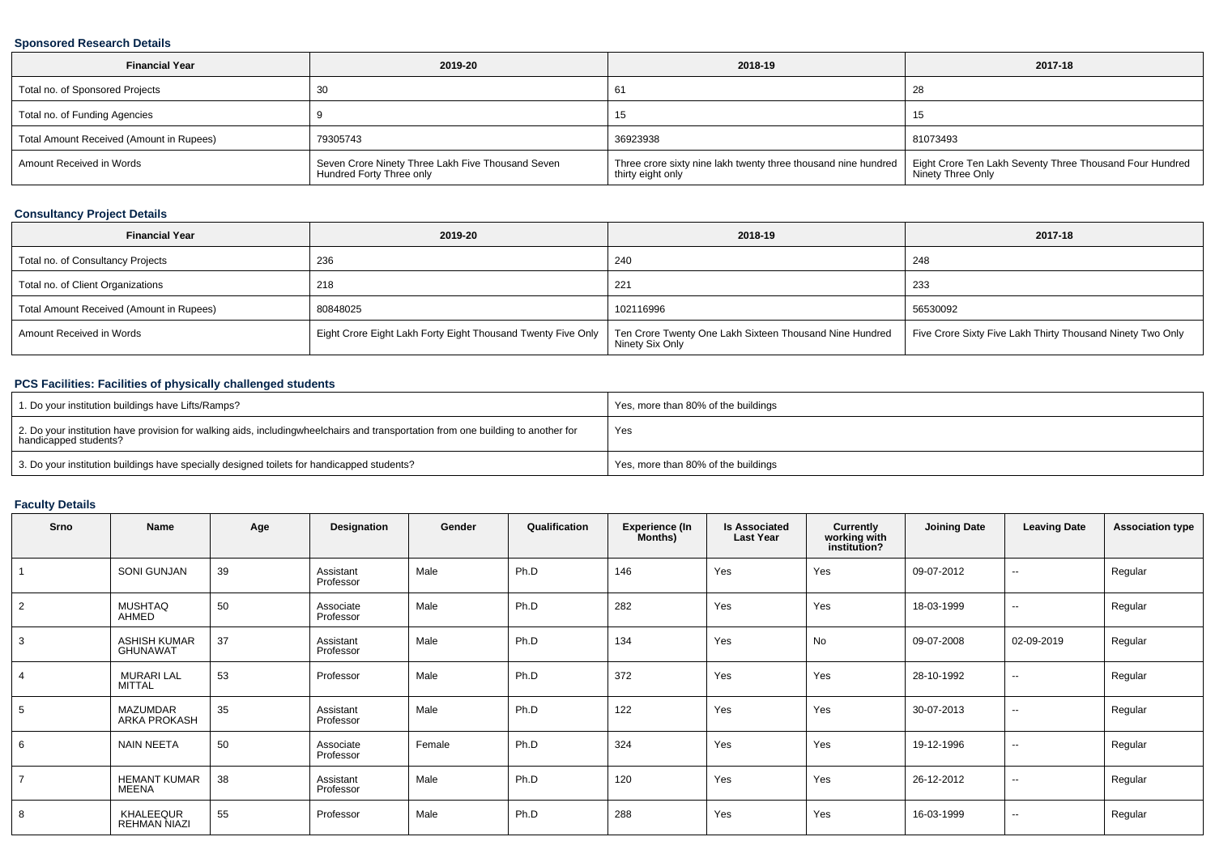#### **Sponsored Research Details**

| <b>Financial Year</b>                    | 2019-20                                                                       | 2018-19                                                                                                                                        | 2017-18           |
|------------------------------------------|-------------------------------------------------------------------------------|------------------------------------------------------------------------------------------------------------------------------------------------|-------------------|
| Total no. of Sponsored Projects          |                                                                               | 61                                                                                                                                             | 28                |
| Total no. of Funding Agencies            |                                                                               | 15                                                                                                                                             | ں ا               |
| Total Amount Received (Amount in Rupees) | 79305743                                                                      | 36923938                                                                                                                                       | 81073493          |
| Amount Received in Words                 | Seven Crore Ninety Three Lakh Five Thousand Seven<br>Hundred Forty Three only | Three crore sixty nine lakh twenty three thousand nine hundred   Eight Crore Ten Lakh Seventy Three Thousand Four Hundred<br>thirty eight only | Ninety Three Only |

### **Consultancy Project Details**

| <b>Financial Year</b>                    | 2019-20                                                      | 2018-19                                                                    | 2017-18                                                    |
|------------------------------------------|--------------------------------------------------------------|----------------------------------------------------------------------------|------------------------------------------------------------|
| Total no. of Consultancy Projects        | 236                                                          | 240                                                                        | 248                                                        |
| Total no. of Client Organizations        | 218                                                          | 221                                                                        | 233                                                        |
| Total Amount Received (Amount in Rupees) | 80848025                                                     | 102116996                                                                  | 56530092                                                   |
| Amount Received in Words                 | Eight Crore Eight Lakh Forty Eight Thousand Twenty Five Only | Ten Crore Twenty One Lakh Sixteen Thousand Nine Hundred<br>Ninety Six Only | Five Crore Sixty Five Lakh Thirty Thousand Ninety Two Only |

### **PCS Facilities: Facilities of physically challenged students**

| 1. Do your institution buildings have Lifts/Ramps?                                                                                                        | Yes, more than 80% of the buildings |
|-----------------------------------------------------------------------------------------------------------------------------------------------------------|-------------------------------------|
| 2. Do your institution have provision for walking aids, includingwheelchairs and transportation from one building to another for<br>handicapped students? | Yes                                 |
| 3. Do your institution buildings have specially designed toilets for handicapped students?                                                                | Yes, more than 80% of the buildings |

### **Faculty Details**

| Srno           | Name                                   | Age | Designation            | Gender | Qualification | <b>Experience (In</b><br>Months) | <b>Is Associated</b><br><b>Last Year</b> | Currently<br>working with<br>institution? | <b>Joining Date</b> | <b>Leaving Date</b>      | <b>Association type</b> |
|----------------|----------------------------------------|-----|------------------------|--------|---------------|----------------------------------|------------------------------------------|-------------------------------------------|---------------------|--------------------------|-------------------------|
|                | <b>SONI GUNJAN</b>                     | 39  | Assistant<br>Professor | Male   | Ph.D          | 146                              | Yes                                      | Yes                                       | 09-07-2012          | $\overline{\phantom{a}}$ | Regular                 |
| $\overline{2}$ | <b>MUSHTAQ</b><br>AHMED                | 50  | Associate<br>Professor | Male   | Ph.D          | 282                              | Yes                                      | Yes                                       | 18-03-1999          | $\overline{\phantom{a}}$ | Regular                 |
| 3              | <b>ASHISH KUMAR</b><br><b>GHUNAWAT</b> | 37  | Assistant<br>Professor | Male   | Ph.D          | 134                              | Yes                                      | No                                        | 09-07-2008          | 02-09-2019               | Regular                 |
| 4              | <b>MURARI LAL</b><br>MITTAL            | 53  | Professor              | Male   | Ph.D          | 372                              | Yes                                      | Yes                                       | 28-10-1992          | $\sim$                   | Regular                 |
| 5              | <b>MAZUMDAR</b><br>ARKA PROKASH        | 35  | Assistant<br>Professor | Male   | Ph.D          | 122                              | Yes                                      | Yes                                       | 30-07-2013          | $\sim$                   | Regular                 |
| 6              | <b>NAIN NEETA</b>                      | 50  | Associate<br>Professor | Female | Ph.D          | 324                              | Yes                                      | Yes                                       | 19-12-1996          | $\sim$                   | Regular                 |
| $\overline{7}$ | <b>HEMANT KUMAR</b><br>MEENA           | 38  | Assistant<br>Professor | Male   | Ph.D          | 120                              | Yes                                      | Yes                                       | 26-12-2012          | $\sim$                   | Regular                 |
| 8              | KHALEEQUR<br><b>REHMAN NIAZI</b>       | 55  | Professor              | Male   | Ph.D          | 288                              | Yes                                      | Yes                                       | 16-03-1999          | $\sim$                   | Regular                 |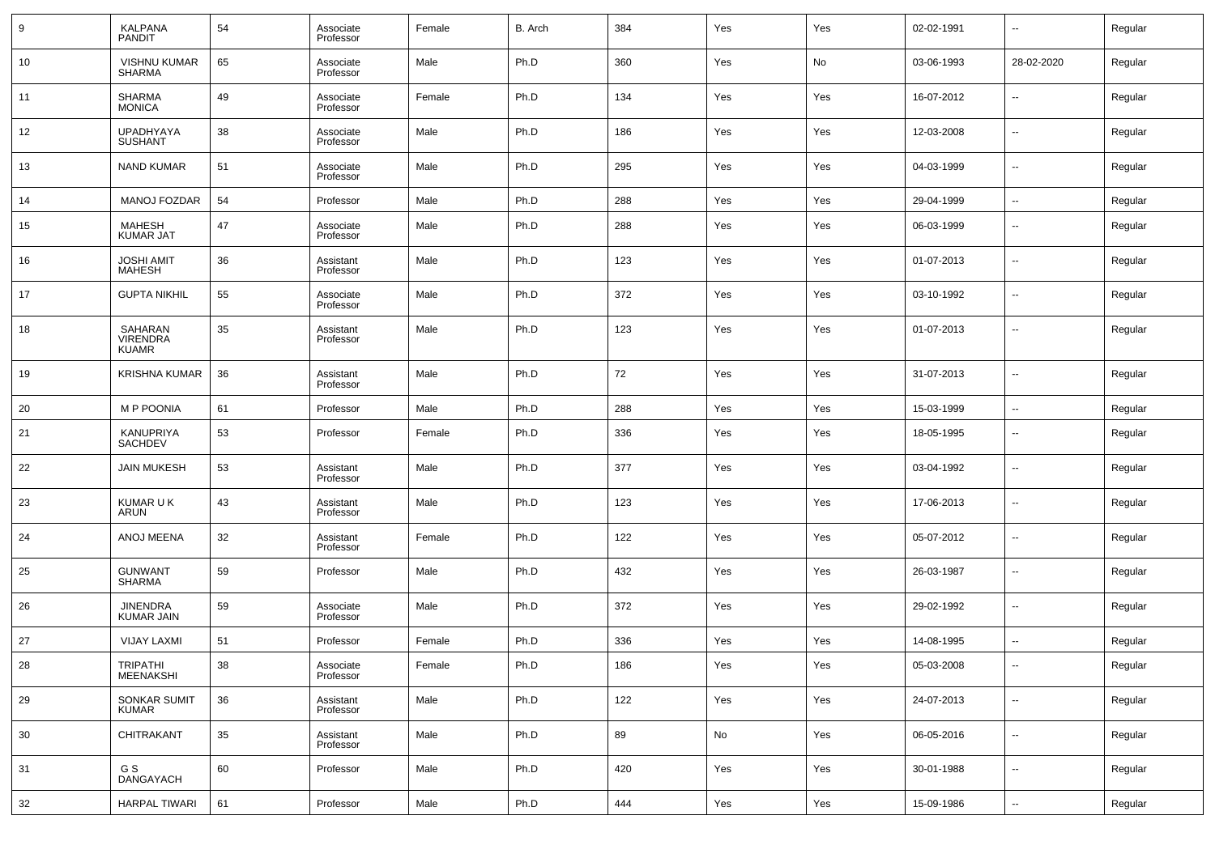| 9  | KALPANA<br>PANDIT                          | 54 | Associate<br>Professor | Female | B. Arch | 384 | Yes | Yes | 02-02-1991 | $\overline{\phantom{a}}$ | Regular |
|----|--------------------------------------------|----|------------------------|--------|---------|-----|-----|-----|------------|--------------------------|---------|
| 10 | <b>VISHNU KUMAR</b><br><b>SHARMA</b>       | 65 | Associate<br>Professor | Male   | Ph.D    | 360 | Yes | No  | 03-06-1993 | 28-02-2020               | Regular |
| 11 | <b>SHARMA</b><br><b>MONICA</b>             | 49 | Associate<br>Professor | Female | Ph.D    | 134 | Yes | Yes | 16-07-2012 | $\overline{\phantom{a}}$ | Regular |
| 12 | <b>UPADHYAYA</b><br><b>SUSHANT</b>         | 38 | Associate<br>Professor | Male   | Ph.D    | 186 | Yes | Yes | 12-03-2008 | $\overline{\phantom{a}}$ | Regular |
| 13 | <b>NAND KUMAR</b>                          | 51 | Associate<br>Professor | Male   | Ph.D    | 295 | Yes | Yes | 04-03-1999 | $\overline{\phantom{a}}$ | Regular |
| 14 | MANOJ FOZDAR                               | 54 | Professor              | Male   | Ph.D    | 288 | Yes | Yes | 29-04-1999 | $\overline{\phantom{a}}$ | Regular |
| 15 | MAHESH<br><b>KUMAR JAT</b>                 | 47 | Associate<br>Professor | Male   | Ph.D    | 288 | Yes | Yes | 06-03-1999 | $\overline{\phantom{a}}$ | Regular |
| 16 | <b>JOSHI AMIT</b><br><b>MAHESH</b>         | 36 | Assistant<br>Professor | Male   | Ph.D    | 123 | Yes | Yes | 01-07-2013 | $\overline{\phantom{a}}$ | Regular |
| 17 | <b>GUPTA NIKHIL</b>                        | 55 | Associate<br>Professor | Male   | Ph.D    | 372 | Yes | Yes | 03-10-1992 | $\overline{\phantom{a}}$ | Regular |
| 18 | SAHARAN<br><b>VIRENDRA</b><br><b>KUAMR</b> | 35 | Assistant<br>Professor | Male   | Ph.D    | 123 | Yes | Yes | 01-07-2013 | $\overline{\phantom{a}}$ | Regular |
| 19 | <b>KRISHNA KUMAR</b>                       | 36 | Assistant<br>Professor | Male   | Ph.D    | 72  | Yes | Yes | 31-07-2013 | $\overline{\phantom{a}}$ | Regular |
| 20 | <b>MP POONIA</b>                           | 61 | Professor              | Male   | Ph.D    | 288 | Yes | Yes | 15-03-1999 | $\overline{\phantom{a}}$ | Regular |
| 21 | KANUPRIYA<br><b>SACHDEV</b>                | 53 | Professor              | Female | Ph.D    | 336 | Yes | Yes | 18-05-1995 | $\overline{\phantom{a}}$ | Regular |
| 22 | <b>JAIN MUKESH</b>                         | 53 | Assistant<br>Professor | Male   | Ph.D    | 377 | Yes | Yes | 03-04-1992 | $\overline{\phantom{a}}$ | Regular |
| 23 | <b>KUMAR U K</b><br><b>ARUN</b>            | 43 | Assistant<br>Professor | Male   | Ph.D    | 123 | Yes | Yes | 17-06-2013 | $\overline{\phantom{a}}$ | Regular |
| 24 | ANOJ MEENA                                 | 32 | Assistant<br>Professor | Female | Ph.D    | 122 | Yes | Yes | 05-07-2012 | $\overline{\phantom{a}}$ | Regular |
| 25 | <b>GUNWANT</b><br><b>SHARMA</b>            | 59 | Professor              | Male   | Ph.D    | 432 | Yes | Yes | 26-03-1987 | $\overline{\phantom{a}}$ | Regular |
| 26 | <b>JINENDRA</b><br><b>KUMAR JAIN</b>       | 59 | Associate<br>Professor | Male   | Ph.D    | 372 | Yes | Yes | 29-02-1992 | $\overline{\phantom{a}}$ | Regular |
| 27 | <b>VIJAY LAXMI</b>                         | 51 | Professor              | Female | Ph.D    | 336 | Yes | Yes | 14-08-1995 | $\overline{\phantom{a}}$ | Regular |
| 28 | TRIPATHI<br>MEENAKSHI                      | 38 | Associate<br>Professor | Female | Ph.D    | 186 | Yes | Yes | 05-03-2008 | $\overline{\phantom{a}}$ | Regular |
| 29 | SONKAR SUMIT<br><b>KUMAR</b>               | 36 | Assistant<br>Professor | Male   | Ph.D    | 122 | Yes | Yes | 24-07-2013 | $\overline{\phantom{a}}$ | Regular |
| 30 | CHITRAKANT                                 | 35 | Assistant<br>Professor | Male   | Ph.D    | 89  | No  | Yes | 06-05-2016 | $\overline{\phantom{a}}$ | Regular |
| 31 | G S<br>DANGAYACH                           | 60 | Professor              | Male   | Ph.D    | 420 | Yes | Yes | 30-01-1988 | $\sim$                   | Regular |
| 32 | <b>HARPAL TIWARI</b>                       | 61 | Professor              | Male   | Ph.D    | 444 | Yes | Yes | 15-09-1986 | $\overline{\phantom{a}}$ | Regular |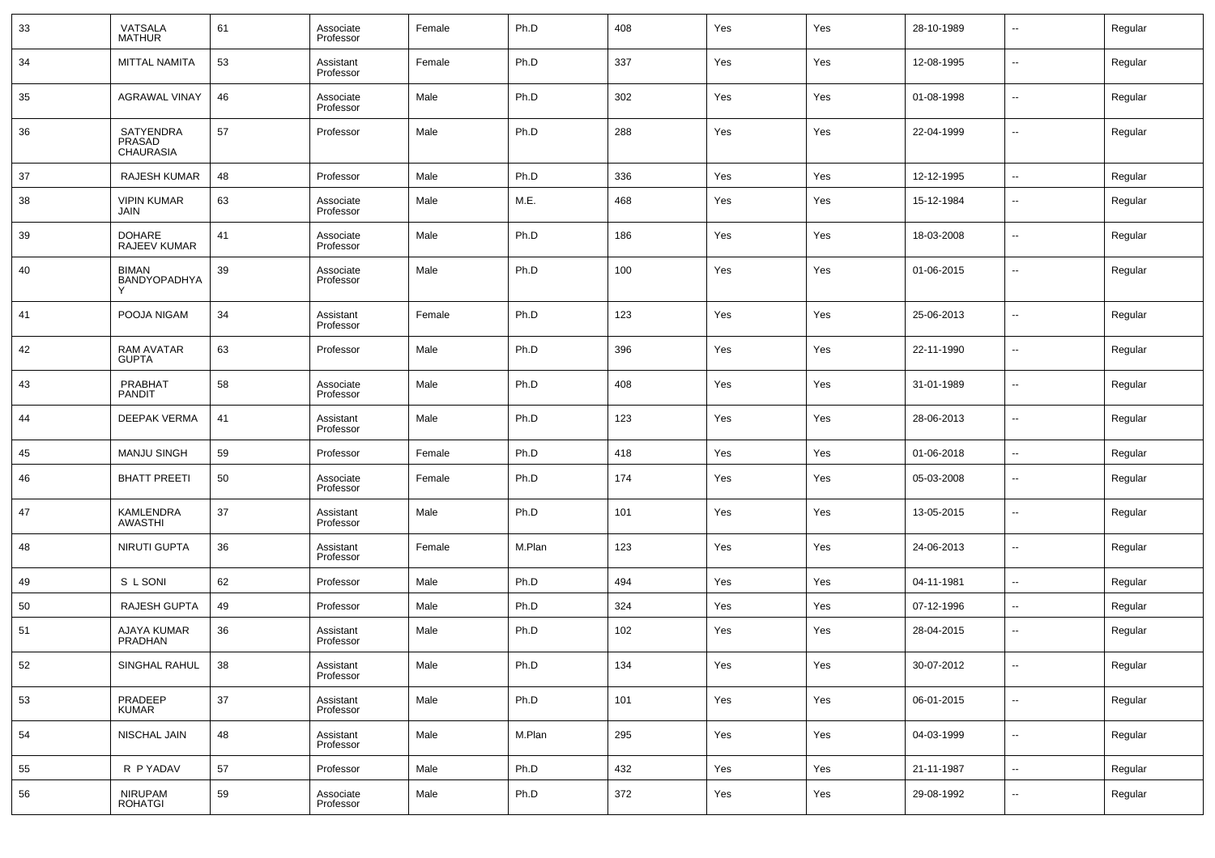| 33 | VATSALA<br>MATHUR                        | 61 | Associate<br>Professor | Female | Ph.D   | 408 | Yes | Yes | 28-10-1989 | --                       | Regular |
|----|------------------------------------------|----|------------------------|--------|--------|-----|-----|-----|------------|--------------------------|---------|
| 34 | <b>MITTAL NAMITA</b>                     | 53 | Assistant<br>Professor | Female | Ph.D   | 337 | Yes | Yes | 12-08-1995 | --                       | Regular |
| 35 | <b>AGRAWAL VINAY</b>                     | 46 | Associate<br>Professor | Male   | Ph.D   | 302 | Yes | Yes | 01-08-1998 | --                       | Regular |
| 36 | SATYENDRA<br>PRASAD<br><b>CHAURASIA</b>  | 57 | Professor              | Male   | Ph.D   | 288 | Yes | Yes | 22-04-1999 | --                       | Regular |
| 37 | <b>RAJESH KUMAR</b>                      | 48 | Professor              | Male   | Ph.D   | 336 | Yes | Yes | 12-12-1995 | $\overline{\phantom{a}}$ | Regular |
| 38 | <b>VIPIN KUMAR</b><br>JAIN               | 63 | Associate<br>Professor | Male   | M.E.   | 468 | Yes | Yes | 15-12-1984 | --                       | Regular |
| 39 | <b>DOHARE</b><br><b>RAJEEV KUMAR</b>     | 41 | Associate<br>Professor | Male   | Ph.D   | 186 | Yes | Yes | 18-03-2008 | --                       | Regular |
| 40 | <b>BIMAN</b><br><b>BANDYOPADHYA</b><br>Y | 39 | Associate<br>Professor | Male   | Ph.D   | 100 | Yes | Yes | 01-06-2015 | --                       | Regular |
| 41 | POOJA NIGAM                              | 34 | Assistant<br>Professor | Female | Ph.D   | 123 | Yes | Yes | 25-06-2013 | --                       | Regular |
| 42 | <b>RAM AVATAR</b><br><b>GUPTA</b>        | 63 | Professor              | Male   | Ph.D   | 396 | Yes | Yes | 22-11-1990 | ш.                       | Regular |
| 43 | PRABHAT<br><b>PANDIT</b>                 | 58 | Associate<br>Professor | Male   | Ph.D   | 408 | Yes | Yes | 31-01-1989 | --                       | Regular |
| 44 | <b>DEEPAK VERMA</b>                      | 41 | Assistant<br>Professor | Male   | Ph.D   | 123 | Yes | Yes | 28-06-2013 | ш.                       | Regular |
| 45 | <b>MANJU SINGH</b>                       | 59 | Professor              | Female | Ph.D   | 418 | Yes | Yes | 01-06-2018 | $\overline{\phantom{a}}$ | Regular |
| 46 | <b>BHATT PREETI</b>                      | 50 | Associate<br>Professor | Female | Ph.D   | 174 | Yes | Yes | 05-03-2008 | --                       | Regular |
| 47 | <b>KAMLENDRA</b><br><b>AWASTHI</b>       | 37 | Assistant<br>Professor | Male   | Ph.D   | 101 | Yes | Yes | 13-05-2015 | --                       | Regular |
| 48 | <b>NIRUTI GUPTA</b>                      | 36 | Assistant<br>Professor | Female | M.Plan | 123 | Yes | Yes | 24-06-2013 | --                       | Regular |
| 49 | S L SONI                                 | 62 | Professor              | Male   | Ph.D   | 494 | Yes | Yes | 04-11-1981 | --                       | Regular |
| 50 | <b>RAJESH GUPTA</b>                      | 49 | Professor              | Male   | Ph.D   | 324 | Yes | Yes | 07-12-1996 | --                       | Regular |
| 51 | AJAYA KUMAR<br>PRADHAN                   | 36 | Assistant<br>Professor | Male   | Ph.D   | 102 | Yes | Yes | 28-04-2015 | --                       | Regular |
| 52 | SINGHAL RAHUL                            | 38 | Assistant<br>Professor | Male   | Ph.D   | 134 | Yes | Yes | 30-07-2012 | $\overline{\phantom{a}}$ | Regular |
| 53 | PRADEEP<br><b>KUMAR</b>                  | 37 | Assistant<br>Professor | Male   | Ph.D   | 101 | Yes | Yes | 06-01-2015 | $\sim$                   | Regular |
| 54 | NISCHAL JAIN                             | 48 | Assistant<br>Professor | Male   | M.Plan | 295 | Yes | Yes | 04-03-1999 | $\sim$                   | Regular |
| 55 | R P YADAV                                | 57 | Professor              | Male   | Ph.D   | 432 | Yes | Yes | 21-11-1987 | $\sim$                   | Regular |
| 56 | NIRUPAM<br>ROHATGI                       | 59 | Associate<br>Professor | Male   | Ph.D   | 372 | Yes | Yes | 29-08-1992 | $\sim$                   | Regular |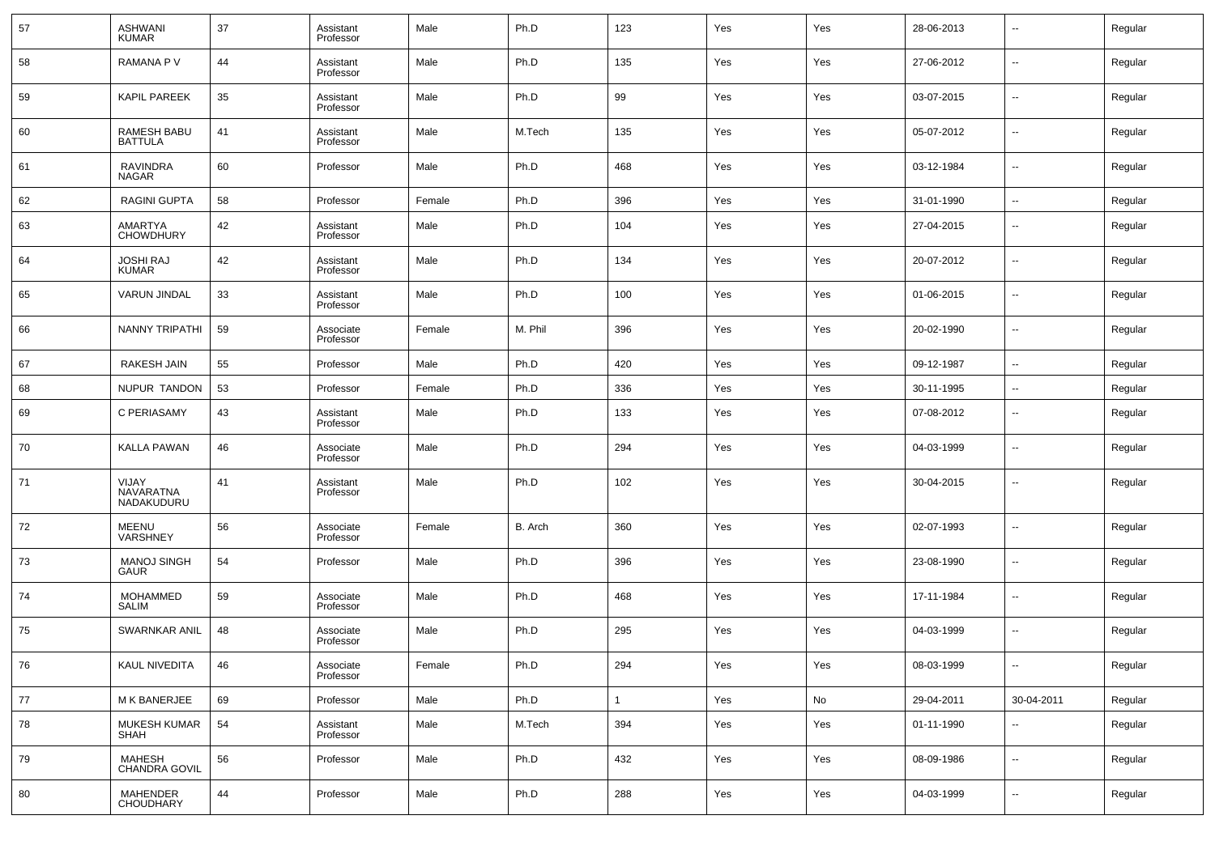| 57 | ASHWANI<br>KUMAR                  | 37 | Assistant<br>Professor | Male   | Ph.D    | 123          | Yes | Yes | 28-06-2013 | $\overline{\phantom{a}}$ | Regular |
|----|-----------------------------------|----|------------------------|--------|---------|--------------|-----|-----|------------|--------------------------|---------|
| 58 | RAMANA P V                        | 44 | Assistant<br>Professor | Male   | Ph.D    | 135          | Yes | Yes | 27-06-2012 | $\overline{\phantom{a}}$ | Regular |
| 59 | <b>KAPIL PAREEK</b>               | 35 | Assistant<br>Professor | Male   | Ph.D    | 99           | Yes | Yes | 03-07-2015 | $\overline{\phantom{a}}$ | Regular |
| 60 | RAMESH BABU<br><b>BATTULA</b>     | 41 | Assistant<br>Professor | Male   | M.Tech  | 135          | Yes | Yes | 05-07-2012 | $\overline{\phantom{a}}$ | Regular |
| 61 | RAVINDRA<br><b>NAGAR</b>          | 60 | Professor              | Male   | Ph.D    | 468          | Yes | Yes | 03-12-1984 | $\overline{\phantom{a}}$ | Regular |
| 62 | <b>RAGINI GUPTA</b>               | 58 | Professor              | Female | Ph.D    | 396          | Yes | Yes | 31-01-1990 | $\overline{\phantom{a}}$ | Regular |
| 63 | AMARTYA<br><b>CHOWDHURY</b>       | 42 | Assistant<br>Professor | Male   | Ph.D    | 104          | Yes | Yes | 27-04-2015 | $\overline{\phantom{a}}$ | Regular |
| 64 | <b>JOSHI RAJ</b><br><b>KUMAR</b>  | 42 | Assistant<br>Professor | Male   | Ph.D    | 134          | Yes | Yes | 20-07-2012 | $\overline{\phantom{a}}$ | Regular |
| 65 | <b>VARUN JINDAL</b>               | 33 | Assistant<br>Professor | Male   | Ph.D    | 100          | Yes | Yes | 01-06-2015 | $\overline{\phantom{a}}$ | Regular |
| 66 | NANNY TRIPATHI                    | 59 | Associate<br>Professor | Female | M. Phil | 396          | Yes | Yes | 20-02-1990 | $\overline{\phantom{a}}$ | Regular |
| 67 | <b>RAKESH JAIN</b>                | 55 | Professor              | Male   | Ph.D    | 420          | Yes | Yes | 09-12-1987 | $\overline{\phantom{a}}$ | Regular |
| 68 | NUPUR TANDON                      | 53 | Professor              | Female | Ph.D    | 336          | Yes | Yes | 30-11-1995 | $\overline{\phantom{a}}$ | Regular |
| 69 | C PERIASAMY                       | 43 | Assistant<br>Professor | Male   | Ph.D    | 133          | Yes | Yes | 07-08-2012 | $\overline{\phantom{a}}$ | Regular |
| 70 | <b>KALLA PAWAN</b>                | 46 | Associate<br>Professor | Male   | Ph.D    | 294          | Yes | Yes | 04-03-1999 | $\overline{\phantom{a}}$ | Regular |
| 71 | VIJAY<br>NAVARATNA<br>NADAKUDURU  | 41 | Assistant<br>Professor | Male   | Ph.D    | 102          | Yes | Yes | 30-04-2015 | $\overline{\phantom{a}}$ | Regular |
| 72 | MEENU<br>VARSHNEY                 | 56 | Associate<br>Professor | Female | B. Arch | 360          | Yes | Yes | 02-07-1993 | $\overline{\phantom{a}}$ | Regular |
| 73 | <b>MANOJ SINGH</b><br><b>GAUR</b> | 54 | Professor              | Male   | Ph.D    | 396          | Yes | Yes | 23-08-1990 | $\overline{\phantom{a}}$ | Regular |
| 74 | MOHAMMED<br><b>SALIM</b>          | 59 | Associate<br>Professor | Male   | Ph.D    | 468          | Yes | Yes | 17-11-1984 | $\sim$                   | Regular |
| 75 | SWARNKAR ANIL                     | 48 | Associate<br>Professor | Male   | Ph.D    | 295          | Yes | Yes | 04-03-1999 | $\overline{\phantom{a}}$ | Regular |
| 76 | KAUL NIVEDITA                     | 46 | Associate<br>Professor | Female | Ph.D    | 294          | Yes | Yes | 08-03-1999 | $\overline{\phantom{a}}$ | Regular |
| 77 | M K BANERJEE                      | 69 | Professor              | Male   | Ph.D    | $\mathbf{1}$ | Yes | No  | 29-04-2011 | 30-04-2011               | Regular |
| 78 | <b>MUKESH KUMAR</b><br>SHAH       | 54 | Assistant<br>Professor | Male   | M.Tech  | 394          | Yes | Yes | 01-11-1990 | $\overline{\phantom{a}}$ | Regular |
| 79 | <b>MAHESH</b><br>CHANDRA GOVIL    | 56 | Professor              | Male   | Ph.D    | 432          | Yes | Yes | 08-09-1986 | $\overline{\phantom{a}}$ | Regular |
| 80 | MAHENDER<br>CHOUDHARY             | 44 | Professor              | Male   | Ph.D    | 288          | Yes | Yes | 04-03-1999 | ۰.                       | Regular |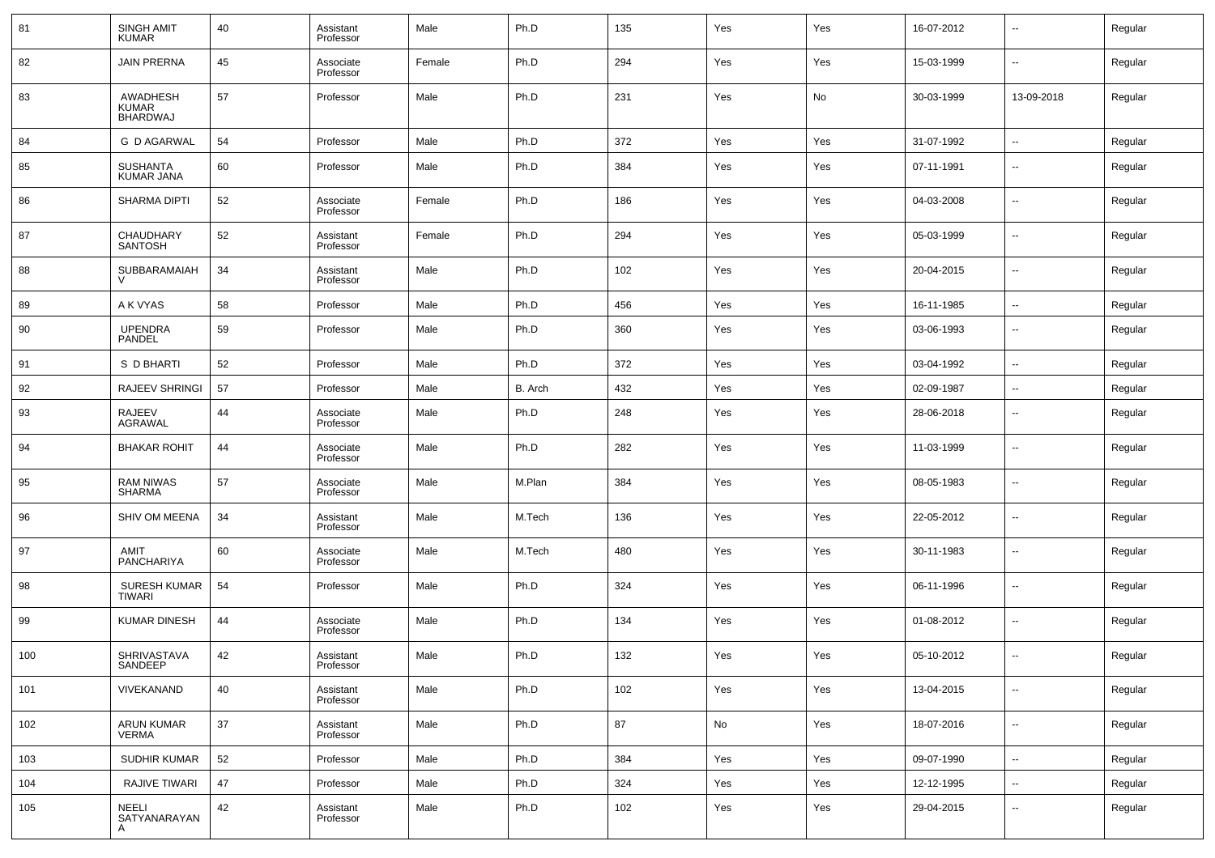| 81  | <b>SINGH AMIT</b><br>KUMAR           | 40 | Assistant<br>Professor | Male   | Ph.D    | 135 | Yes | Yes | 16-07-2012 | $\overline{\phantom{a}}$ | Regular |
|-----|--------------------------------------|----|------------------------|--------|---------|-----|-----|-----|------------|--------------------------|---------|
| 82  | <b>JAIN PRERNA</b>                   | 45 | Associate<br>Professor | Female | Ph.D    | 294 | Yes | Yes | 15-03-1999 | $\sim$                   | Regular |
| 83  | AWADHESH<br>KUMAR<br><b>BHARDWAJ</b> | 57 | Professor              | Male   | Ph.D    | 231 | Yes | No  | 30-03-1999 | 13-09-2018               | Regular |
| 84  | <b>G D AGARWAL</b>                   | 54 | Professor              | Male   | Ph.D    | 372 | Yes | Yes | 31-07-1992 | $\overline{\phantom{a}}$ | Regular |
| 85  | <b>SUSHANTA</b><br>KUMAR JANA        | 60 | Professor              | Male   | Ph.D    | 384 | Yes | Yes | 07-11-1991 | $\sim$                   | Regular |
| 86  | <b>SHARMA DIPTI</b>                  | 52 | Associate<br>Professor | Female | Ph.D    | 186 | Yes | Yes | 04-03-2008 | --                       | Regular |
| 87  | <b>CHAUDHARY</b><br><b>SANTOSH</b>   | 52 | Assistant<br>Professor | Female | Ph.D    | 294 | Yes | Yes | 05-03-1999 | $\sim$                   | Regular |
| 88  | SUBBARAMAIAH                         | 34 | Assistant<br>Professor | Male   | Ph.D    | 102 | Yes | Yes | 20-04-2015 | $\sim$                   | Regular |
| 89  | A K VYAS                             | 58 | Professor              | Male   | Ph.D    | 456 | Yes | Yes | 16-11-1985 | $\overline{\phantom{a}}$ | Regular |
| 90  | <b>UPENDRA</b><br>PANDEL             | 59 | Professor              | Male   | Ph.D    | 360 | Yes | Yes | 03-06-1993 | --                       | Regular |
| 91  | S D BHARTI                           | 52 | Professor              | Male   | Ph.D    | 372 | Yes | Yes | 03-04-1992 | $\sim$                   | Regular |
| 92  | RAJEEV SHRINGI                       | 57 | Professor              | Male   | B. Arch | 432 | Yes | Yes | 02-09-1987 | $\overline{\phantom{a}}$ | Regular |
| 93  | <b>RAJEEV</b><br>AGRAWAL             | 44 | Associate<br>Professor | Male   | Ph.D    | 248 | Yes | Yes | 28-06-2018 | --                       | Regular |
| 94  | <b>BHAKAR ROHIT</b>                  | 44 | Associate<br>Professor | Male   | Ph.D    | 282 | Yes | Yes | 11-03-1999 | --                       | Regular |
| 95  | <b>RAM NIWAS</b><br><b>SHARMA</b>    | 57 | Associate<br>Professor | Male   | M.Plan  | 384 | Yes | Yes | 08-05-1983 | --                       | Regular |
| 96  | SHIV OM MEENA                        | 34 | Assistant<br>Professor | Male   | M.Tech  | 136 | Yes | Yes | 22-05-2012 | --                       | Regular |
| 97  | <b>AMIT</b><br><b>PANCHARIYA</b>     | 60 | Associate<br>Professor | Male   | M.Tech  | 480 | Yes | Yes | 30-11-1983 | --                       | Regular |
| 98  | <b>SURESH KUMAR</b><br><b>TIWARI</b> | 54 | Professor              | Male   | Ph.D    | 324 | Yes | Yes | 06-11-1996 | --                       | Regular |
| 99  | <b>KUMAR DINESH</b>                  | 44 | Associate<br>Professor | Male   | Ph.D    | 134 | Yes | Yes | 01-08-2012 | --                       | Regular |
| 100 | <b>SHRIVASTAVA</b><br>SANDEEP        | 42 | Assistant<br>Professor | Male   | Ph.D    | 132 | Yes | Yes | 05-10-2012 | --                       | Regular |
| 101 | VIVEKANAND                           | 40 | Assistant<br>Professor | Male   | Ph.D    | 102 | Yes | Yes | 13-04-2015 | $\overline{\phantom{a}}$ | Regular |
| 102 | ARUN KUMAR<br>VERMA                  | 37 | Assistant<br>Professor | Male   | Ph.D    | 87  | No  | Yes | 18-07-2016 | $\sim$                   | Regular |
| 103 | SUDHIR KUMAR                         | 52 | Professor              | Male   | Ph.D    | 384 | Yes | Yes | 09-07-1990 | $\overline{\phantom{a}}$ | Regular |
| 104 | RAJIVE TIWARI                        | 47 | Professor              | Male   | Ph.D    | 324 | Yes | Yes | 12-12-1995 | $\sim$                   | Regular |
| 105 | <b>NEELI</b><br>SATYANARAYAN<br>A    | 42 | Assistant<br>Professor | Male   | Ph.D    | 102 | Yes | Yes | 29-04-2015 | $\sim$                   | Regular |
|     |                                      |    |                        |        |         |     |     |     |            |                          |         |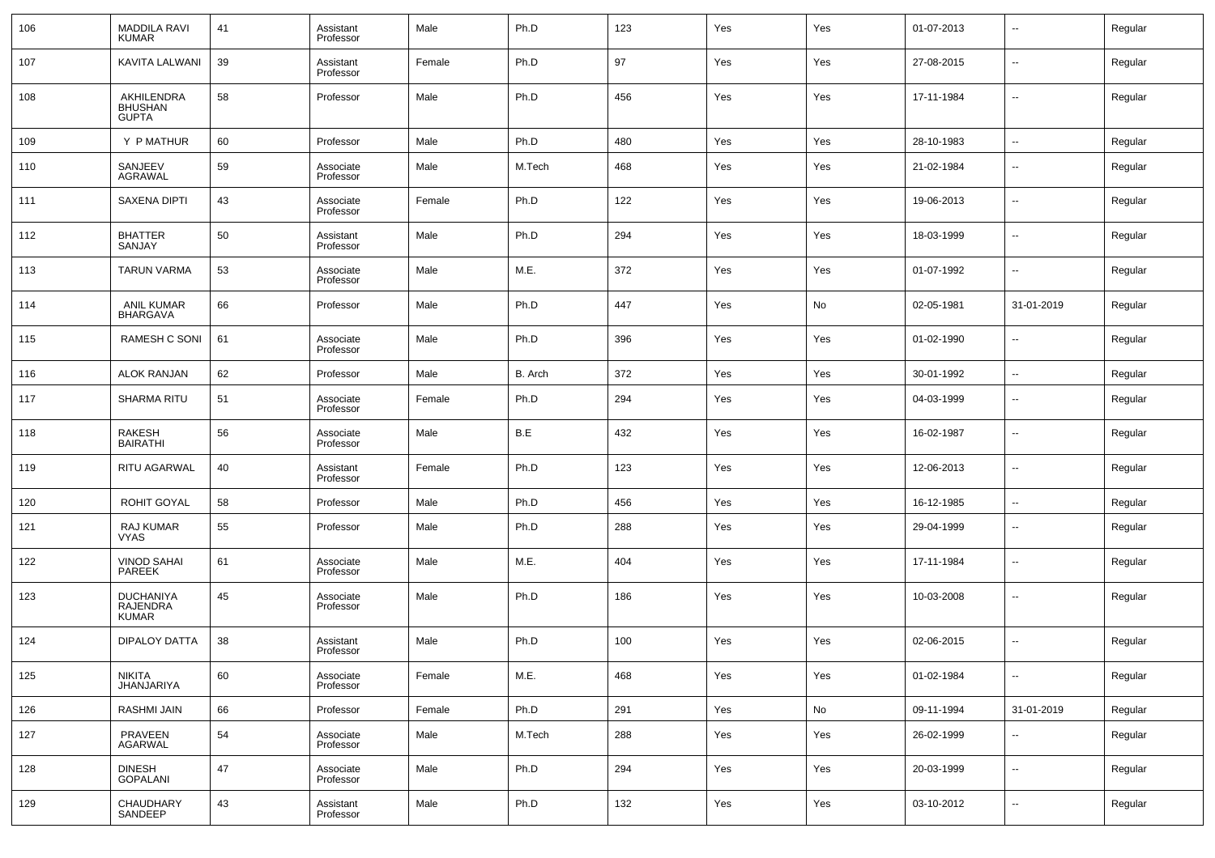| 106 | <b>MADDILA RAVI</b><br><b>KUMAR</b>                 | 41 | Assistant<br>Professor | Male   | Ph.D    | 123 | Yes | Yes | 01-07-2013 | --                       | Regular |
|-----|-----------------------------------------------------|----|------------------------|--------|---------|-----|-----|-----|------------|--------------------------|---------|
| 107 | KAVITA LALWANI                                      | 39 | Assistant<br>Professor | Female | Ph.D    | 97  | Yes | Yes | 27-08-2015 | --                       | Regular |
| 108 | AKHILENDRA<br><b>BHUSHAN</b><br><b>GUPTA</b>        | 58 | Professor              | Male   | Ph.D    | 456 | Yes | Yes | 17-11-1984 | --                       | Regular |
| 109 | Y P MATHUR                                          | 60 | Professor              | Male   | Ph.D    | 480 | Yes | Yes | 28-10-1983 | ÷.                       | Regular |
| 110 | SANJEEV<br><b>AGRAWAL</b>                           | 59 | Associate<br>Professor | Male   | M.Tech  | 468 | Yes | Yes | 21-02-1984 | --                       | Regular |
| 111 | <b>SAXENA DIPTI</b>                                 | 43 | Associate<br>Professor | Female | Ph.D    | 122 | Yes | Yes | 19-06-2013 | н.                       | Regular |
| 112 | <b>BHATTER</b><br>SANJAY                            | 50 | Assistant<br>Professor | Male   | Ph.D    | 294 | Yes | Yes | 18-03-1999 | --                       | Regular |
| 113 | <b>TARUN VARMA</b>                                  | 53 | Associate<br>Professor | Male   | M.E.    | 372 | Yes | Yes | 01-07-1992 | --                       | Regular |
| 114 | <b>ANIL KUMAR</b><br>BHARGAVA                       | 66 | Professor              | Male   | Ph.D    | 447 | Yes | No  | 02-05-1981 | 31-01-2019               | Regular |
| 115 | RAMESH C SONI                                       | 61 | Associate<br>Professor | Male   | Ph.D    | 396 | Yes | Yes | 01-02-1990 | --                       | Regular |
| 116 | <b>ALOK RANJAN</b>                                  | 62 | Professor              | Male   | B. Arch | 372 | Yes | Yes | 30-01-1992 | $\sim$                   | Regular |
| 117 | <b>SHARMA RITU</b>                                  | 51 | Associate<br>Professor | Female | Ph.D    | 294 | Yes | Yes | 04-03-1999 | --                       | Regular |
| 118 | <b>RAKESH</b><br><b>BAIRATHI</b>                    | 56 | Associate<br>Professor | Male   | B.E     | 432 | Yes | Yes | 16-02-1987 | --                       | Regular |
| 119 | <b>RITU AGARWAL</b>                                 | 40 | Assistant<br>Professor | Female | Ph.D    | 123 | Yes | Yes | 12-06-2013 | --                       | Regular |
| 120 | ROHIT GOYAL                                         | 58 | Professor              | Male   | Ph.D    | 456 | Yes | Yes | 16-12-1985 | --                       | Regular |
| 121 | RAJ KUMAR<br><b>VYAS</b>                            | 55 | Professor              | Male   | Ph.D    | 288 | Yes | Yes | 29-04-1999 | $\overline{\phantom{a}}$ | Regular |
| 122 | VINOD SAHAI<br>PAREEK                               | 61 | Associate<br>Professor | Male   | M.E.    | 404 | Yes | Yes | 17-11-1984 | $\overline{\phantom{a}}$ | Regular |
| 123 | <b>DUCHANIYA</b><br><b>RAJENDRA</b><br><b>KUMAR</b> | 45 | Associate<br>Professor | Male   | Ph.D    | 186 | Yes | Yes | 10-03-2008 | $\overline{a}$           | Regular |
| 124 | <b>DIPALOY DATTA</b>                                | 38 | Assistant<br>Professor | Male   | Ph.D    | 100 | Yes | Yes | 02-06-2015 | --                       | Regular |
| 125 | <b>NIKITA</b><br><b>JHANJARIYA</b>                  | 60 | Associate<br>Professor | Female | M.E.    | 468 | Yes | Yes | 01-02-1984 | --                       | Regular |
| 126 | <b>RASHMI JAIN</b>                                  | 66 | Professor              | Female | Ph.D    | 291 | Yes | No  | 09-11-1994 | 31-01-2019               | Regular |
| 127 | PRAVEEN<br><b>AGARWAL</b>                           | 54 | Associate<br>Professor | Male   | M.Tech  | 288 | Yes | Yes | 26-02-1999 | −−                       | Regular |
| 128 | <b>DINESH</b><br><b>GOPALANI</b>                    | 47 | Associate<br>Professor | Male   | Ph.D    | 294 | Yes | Yes | 20-03-1999 | ÷.                       | Regular |
| 129 | CHAUDHARY<br>SANDEEP                                | 43 | Assistant<br>Professor | Male   | Ph.D    | 132 | Yes | Yes | 03-10-2012 | $\sim$                   | Regular |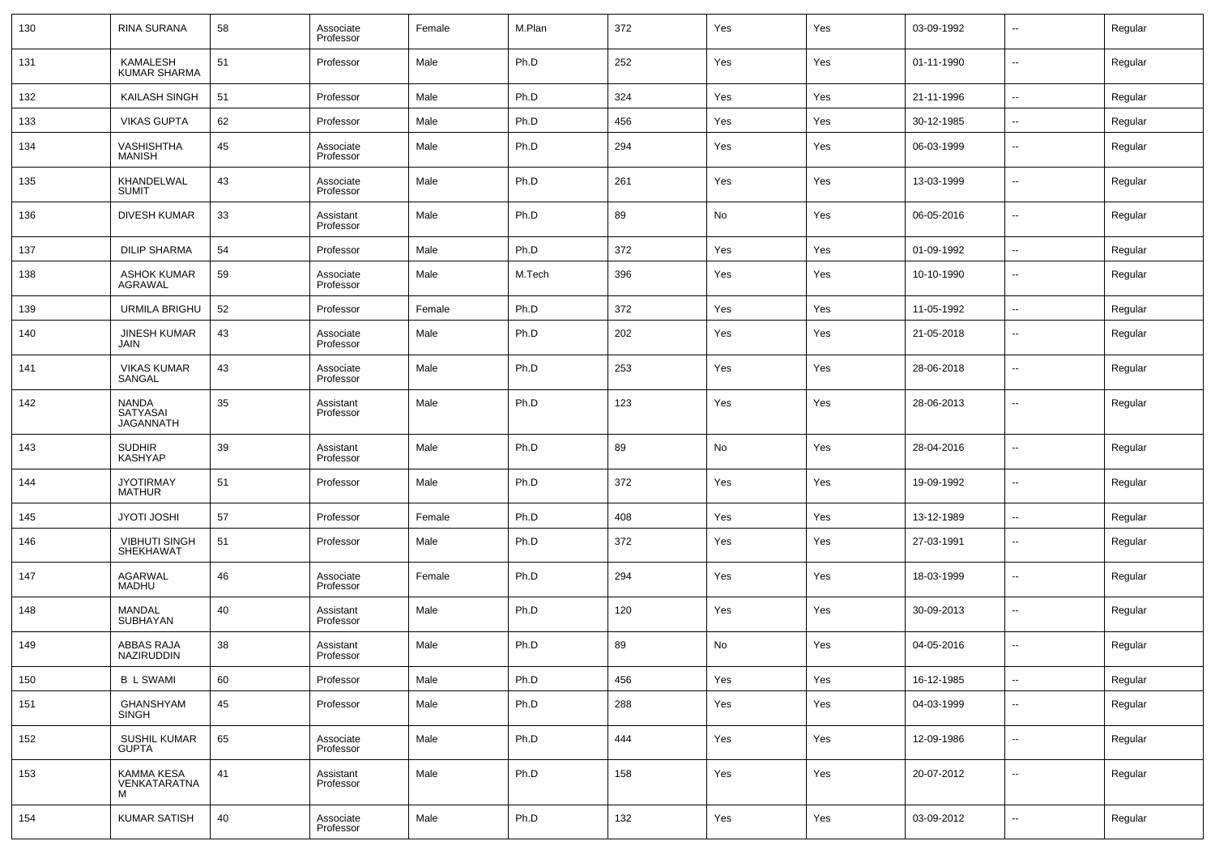| 130 | RINA SURANA                           | 58 | Associate<br>Professor | Female | M.Plan | 372 | Yes | Yes | 03-09-1992 | --                       | Regular |
|-----|---------------------------------------|----|------------------------|--------|--------|-----|-----|-----|------------|--------------------------|---------|
| 131 | KAMALESH<br><b>KUMAR SHARMA</b>       | 51 | Professor              | Male   | Ph.D   | 252 | Yes | Yes | 01-11-1990 | --                       | Regular |
| 132 | KAILASH SINGH                         | 51 | Professor              | Male   | Ph.D   | 324 | Yes | Yes | 21-11-1996 | $\overline{\phantom{a}}$ | Regular |
| 133 | <b>VIKAS GUPTA</b>                    | 62 | Professor              | Male   | Ph.D   | 456 | Yes | Yes | 30-12-1985 | $\sim$                   | Regular |
| 134 | VASHISHTHA<br><b>MANISH</b>           | 45 | Associate<br>Professor | Male   | Ph.D   | 294 | Yes | Yes | 06-03-1999 | --                       | Regular |
| 135 | KHANDELWAL<br><b>SUMIT</b>            | 43 | Associate<br>Professor | Male   | Ph.D   | 261 | Yes | Yes | 13-03-1999 | --                       | Regular |
| 136 | <b>DIVESH KUMAR</b>                   | 33 | Assistant<br>Professor | Male   | Ph.D   | 89  | No  | Yes | 06-05-2016 | $\overline{\phantom{a}}$ | Regular |
| 137 | <b>DILIP SHARMA</b>                   | 54 | Professor              | Male   | Ph.D   | 372 | Yes | Yes | 01-09-1992 | $\overline{\phantom{a}}$ | Regular |
| 138 | ASHOK KUMAR<br>AGRAWAL                | 59 | Associate<br>Professor | Male   | M.Tech | 396 | Yes | Yes | 10-10-1990 | --                       | Regular |
| 139 | URMILA BRIGHU                         | 52 | Professor              | Female | Ph.D   | 372 | Yes | Yes | 11-05-1992 | --                       | Regular |
| 140 | <b>JINESH KUMAR</b><br>JAIN           | 43 | Associate<br>Professor | Male   | Ph.D   | 202 | Yes | Yes | 21-05-2018 | $\overline{\phantom{a}}$ | Regular |
| 141 | <b>VIKAS KUMAR</b><br>SANGAL          | 43 | Associate<br>Professor | Male   | Ph.D   | 253 | Yes | Yes | 28-06-2018 | --                       | Regular |
| 142 | NANDA<br>SATYASAI<br><b>JAGANNATH</b> | 35 | Assistant<br>Professor | Male   | Ph.D   | 123 | Yes | Yes | 28-06-2013 | --                       | Regular |
| 143 | <b>SUDHIR</b><br><b>KASHYAP</b>       | 39 | Assistant<br>Professor | Male   | Ph.D   | 89  | No  | Yes | 28-04-2016 | --                       | Regular |
| 144 | <b>JYOTIRMAY</b><br><b>MATHUR</b>     | 51 | Professor              | Male   | Ph.D   | 372 | Yes | Yes | 19-09-1992 | --                       | Regular |
| 145 | <b>JYOTI JOSHI</b>                    | 57 | Professor              | Female | Ph.D   | 408 | Yes | Yes | 13-12-1989 | ш,                       | Regular |
| 146 | <b>VIBHUTI SINGH</b><br>SHEKHAWAT     | 51 | Professor              | Male   | Ph.D   | 372 | Yes | Yes | 27-03-1991 | --                       | Regular |
| 147 | AGARWAL<br>MADHU                      | 46 | Associate<br>Professor | Female | Ph.D   | 294 | Yes | Yes | 18-03-1999 | --                       | Regular |
| 148 | MANDAL<br>SUBHAYAN                    | 40 | Assistant<br>Professor | Male   | Ph.D   | 120 | Yes | Yes | 30-09-2013 | --                       | Regular |
| 149 | ABBAS RAJA<br><b>NAZIRUDDIN</b>       | 38 | Assistant<br>Professor | Male   | Ph.D   | 89  | No  | Yes | 04-05-2016 | $\overline{\phantom{a}}$ | Regular |
| 150 | <b>B L SWAMI</b>                      | 60 | Professor              | Male   | Ph.D   | 456 | Yes | Yes | 16-12-1985 | --                       | Regular |
| 151 | GHANSHYAM<br>SINGH                    | 45 | Professor              | Male   | Ph.D   | 288 | Yes | Yes | 04-03-1999 | н.                       | Regular |
| 152 | SUSHIL KUMAR<br><b>GUPTA</b>          | 65 | Associate<br>Professor | Male   | Ph.D   | 444 | Yes | Yes | 12-09-1986 | $\overline{\phantom{a}}$ | Regular |
| 153 | KAMMA KESA<br>VENKATARATNA<br>м       | 41 | Assistant<br>Professor | Male   | Ph.D   | 158 | Yes | Yes | 20-07-2012 | $\overline{\phantom{a}}$ | Regular |
| 154 | <b>KUMAR SATISH</b>                   | 40 | Associate<br>Professor | Male   | Ph.D   | 132 | Yes | Yes | 03-09-2012 | $\sim$                   | Regular |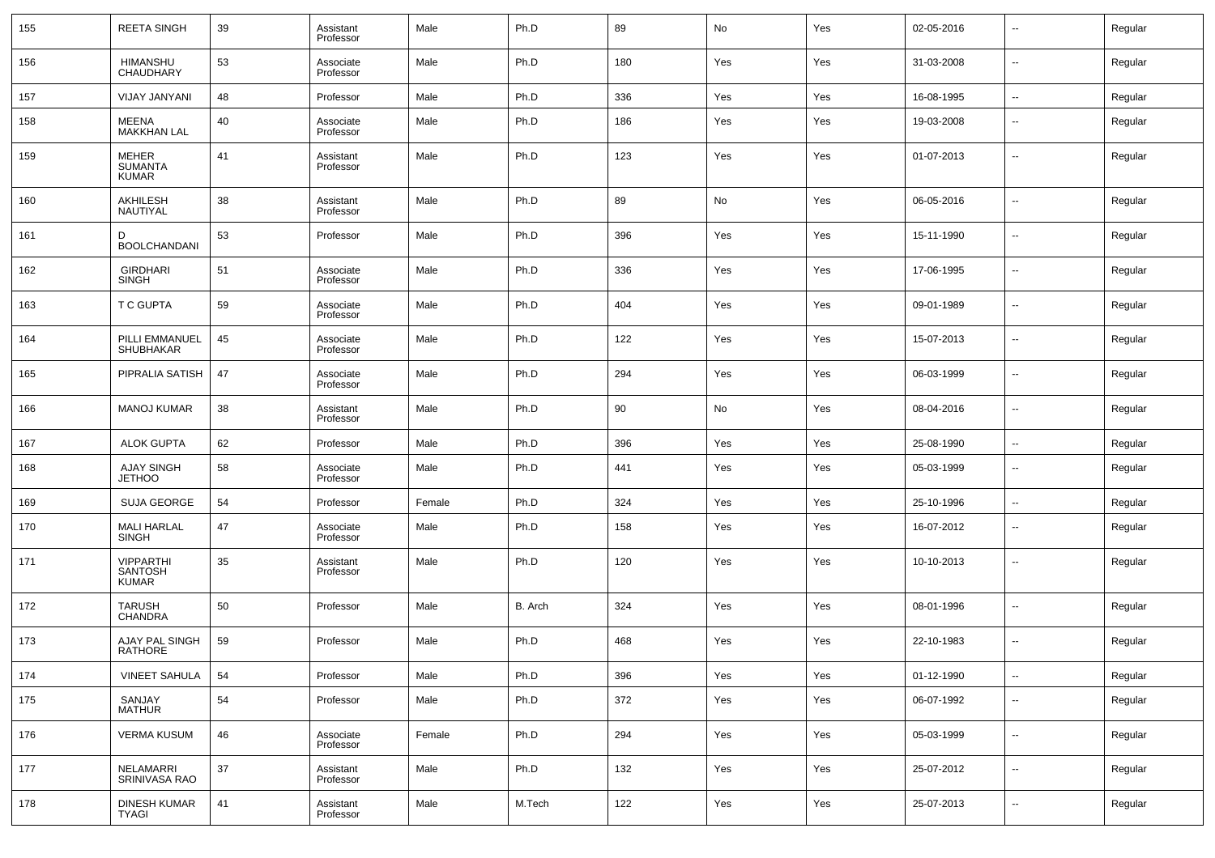| 155 | <b>REETA SINGH</b>                                 | 39 | Assistant<br>Professor | Male   | Ph.D    | 89  | No  | Yes | 02-05-2016 | $\overline{\phantom{a}}$ | Regular |
|-----|----------------------------------------------------|----|------------------------|--------|---------|-----|-----|-----|------------|--------------------------|---------|
| 156 | <b>HIMANSHU</b><br>CHAUDHARY                       | 53 | Associate<br>Professor | Male   | Ph.D    | 180 | Yes | Yes | 31-03-2008 | $\overline{\phantom{a}}$ | Regular |
| 157 | <b>VIJAY JANYANI</b>                               | 48 | Professor              | Male   | Ph.D    | 336 | Yes | Yes | 16-08-1995 | Щ,                       | Regular |
| 158 | MEENA<br><b>MAKKHAN LAL</b>                        | 40 | Associate<br>Professor | Male   | Ph.D    | 186 | Yes | Yes | 19-03-2008 | --                       | Regular |
| 159 | <b>MEHER</b><br><b>SUMANTA</b><br><b>KUMAR</b>     | 41 | Assistant<br>Professor | Male   | Ph.D    | 123 | Yes | Yes | 01-07-2013 | --                       | Regular |
| 160 | AKHILESH<br>NAUTIYAL                               | 38 | Assistant<br>Professor | Male   | Ph.D    | 89  | No  | Yes | 06-05-2016 | $\overline{\phantom{a}}$ | Regular |
| 161 | D<br><b>BOOLCHANDANI</b>                           | 53 | Professor              | Male   | Ph.D    | 396 | Yes | Yes | 15-11-1990 | $\overline{\phantom{a}}$ | Regular |
| 162 | <b>GIRDHARI</b><br><b>SINGH</b>                    | 51 | Associate<br>Professor | Male   | Ph.D    | 336 | Yes | Yes | 17-06-1995 | $\overline{\phantom{a}}$ | Regular |
| 163 | <b>T C GUPTA</b>                                   | 59 | Associate<br>Professor | Male   | Ph.D    | 404 | Yes | Yes | 09-01-1989 | $\overline{\phantom{a}}$ | Regular |
| 164 | PILLI EMMANUEL<br><b>SHUBHAKAR</b>                 | 45 | Associate<br>Professor | Male   | Ph.D    | 122 | Yes | Yes | 15-07-2013 | $\overline{\phantom{a}}$ | Regular |
| 165 | PIPRALIA SATISH                                    | 47 | Associate<br>Professor | Male   | Ph.D    | 294 | Yes | Yes | 06-03-1999 | $\overline{\phantom{a}}$ | Regular |
| 166 | <b>MANOJ KUMAR</b>                                 | 38 | Assistant<br>Professor | Male   | Ph.D    | 90  | No  | Yes | 08-04-2016 | $\overline{\phantom{a}}$ | Regular |
| 167 | <b>ALOK GUPTA</b>                                  | 62 | Professor              | Male   | Ph.D    | 396 | Yes | Yes | 25-08-1990 | $\overline{\phantom{a}}$ | Regular |
| 168 | <b>AJAY SINGH</b><br><b>JETHOO</b>                 | 58 | Associate<br>Professor | Male   | Ph.D    | 441 | Yes | Yes | 05-03-1999 | --                       | Regular |
| 169 | <b>SUJA GEORGE</b>                                 | 54 | Professor              | Female | Ph.D    | 324 | Yes | Yes | 25-10-1996 | $\overline{\phantom{a}}$ | Regular |
| 170 | MALI HARLAL<br>SINGH                               | 47 | Associate<br>Professor | Male   | Ph.D    | 158 | Yes | Yes | 16-07-2012 | ۰.                       | Regular |
| 171 | <b>VIPPARTHI</b><br><b>SANTOSH</b><br><b>KUMAR</b> | 35 | Assistant<br>Professor | Male   | Ph.D    | 120 | Yes | Yes | 10-10-2013 | --                       | Regular |
| 172 | <b>TARUSH</b><br>CHANDRA                           | 50 | Professor              | Male   | B. Arch | 324 | Yes | Yes | 08-01-1996 | --                       | Regular |
| 173 | AJAY PAL SINGH<br><b>RATHORE</b>                   | 59 | Professor              | Male   | Ph.D    | 468 | Yes | Yes | 22-10-1983 | --                       | Regular |
| 174 | <b>VINEET SAHULA</b>                               | 54 | Professor              | Male   | Ph.D    | 396 | Yes | Yes | 01-12-1990 | ۰.                       | Regular |
| 175 | SANJAY<br>MATHUR                                   | 54 | Professor              | Male   | Ph.D    | 372 | Yes | Yes | 06-07-1992 | Щ,                       | Regular |
| 176 | <b>VERMA KUSUM</b>                                 | 46 | Associate<br>Professor | Female | Ph.D    | 294 | Yes | Yes | 05-03-1999 | Щ,                       | Regular |
| 177 | NELAMARRI<br>SRINIVASA RAO                         | 37 | Assistant<br>Professor | Male   | Ph.D    | 132 | Yes | Yes | 25-07-2012 | Щ,                       | Regular |
| 178 | DINESH KUMAR<br>TYAGI                              | 41 | Assistant<br>Professor | Male   | M.Tech  | 122 | Yes | Yes | 25-07-2013 | н.                       | Regular |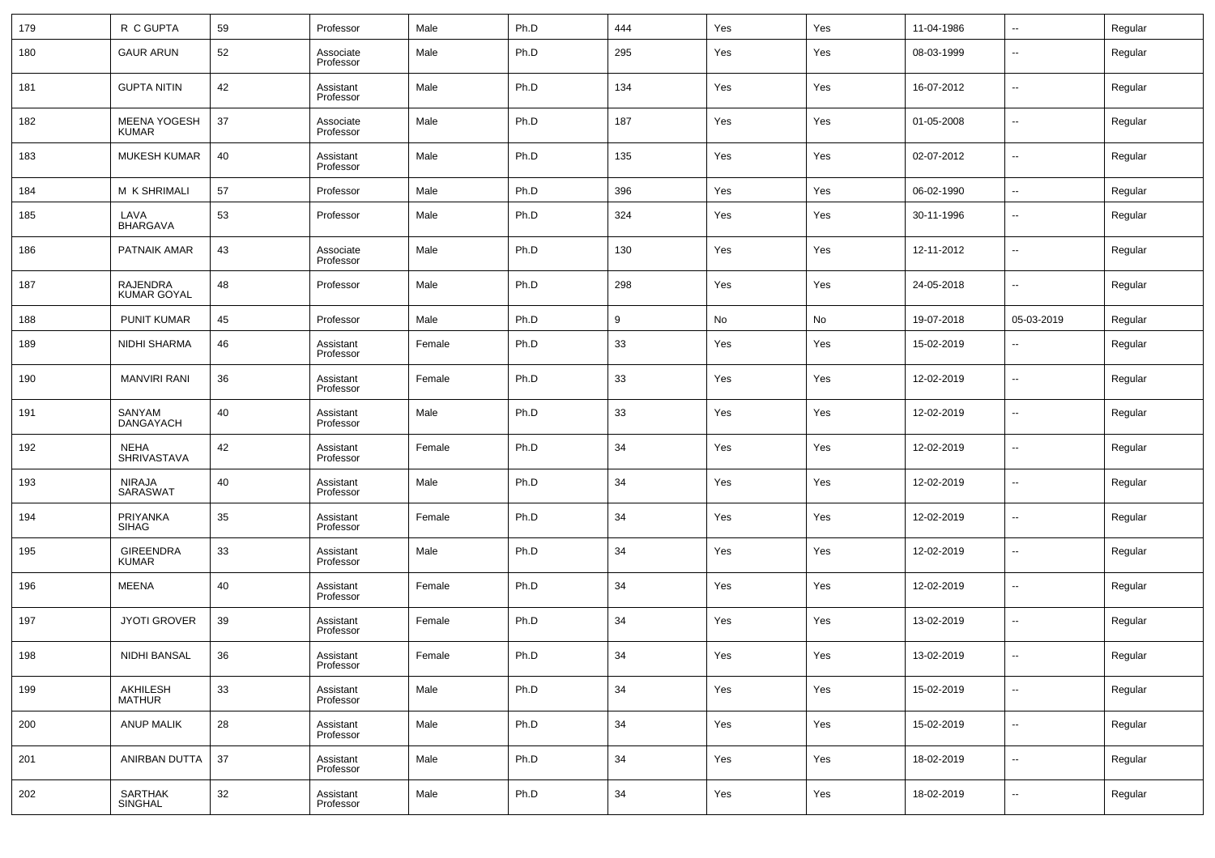| 179 | R C GUPTA                             | 59 | Professor              | Male   | Ph.D | 444 | Yes | Yes | 11-04-1986 | $\overline{\phantom{a}}$ | Regular |
|-----|---------------------------------------|----|------------------------|--------|------|-----|-----|-----|------------|--------------------------|---------|
| 180 | <b>GAUR ARUN</b>                      | 52 | Associate<br>Professor | Male   | Ph.D | 295 | Yes | Yes | 08-03-1999 | $\overline{\phantom{a}}$ | Regular |
| 181 | <b>GUPTA NITIN</b>                    | 42 | Assistant<br>Professor | Male   | Ph.D | 134 | Yes | Yes | 16-07-2012 | $\overline{\phantom{a}}$ | Regular |
| 182 | <b>MEENA YOGESH</b><br><b>KUMAR</b>   | 37 | Associate<br>Professor | Male   | Ph.D | 187 | Yes | Yes | 01-05-2008 | $\overline{\phantom{a}}$ | Regular |
| 183 | <b>MUKESH KUMAR</b>                   | 40 | Assistant<br>Professor | Male   | Ph.D | 135 | Yes | Yes | 02-07-2012 | $\overline{\phantom{a}}$ | Regular |
| 184 | <b>M K SHRIMALI</b>                   | 57 | Professor              | Male   | Ph.D | 396 | Yes | Yes | 06-02-1990 | $\overline{\phantom{a}}$ | Regular |
| 185 | LAVA<br><b>BHARGAVA</b>               | 53 | Professor              | Male   | Ph.D | 324 | Yes | Yes | 30-11-1996 | --                       | Regular |
| 186 | PATNAIK AMAR                          | 43 | Associate<br>Professor | Male   | Ph.D | 130 | Yes | Yes | 12-11-2012 | $\overline{\phantom{a}}$ | Regular |
| 187 | <b>RAJENDRA</b><br><b>KUMAR GOYAL</b> | 48 | Professor              | Male   | Ph.D | 298 | Yes | Yes | 24-05-2018 | $\overline{\phantom{a}}$ | Regular |
| 188 | <b>PUNIT KUMAR</b>                    | 45 | Professor              | Male   | Ph.D | 9   | No  | No  | 19-07-2018 | 05-03-2019               | Regular |
| 189 | <b>NIDHI SHARMA</b>                   | 46 | Assistant<br>Professor | Female | Ph.D | 33  | Yes | Yes | 15-02-2019 | $\overline{\phantom{a}}$ | Regular |
| 190 | <b>MANVIRI RANI</b>                   | 36 | Assistant<br>Professor | Female | Ph.D | 33  | Yes | Yes | 12-02-2019 | $\overline{\phantom{a}}$ | Regular |
| 191 | SANYAM<br><b>DANGAYACH</b>            | 40 | Assistant<br>Professor | Male   | Ph.D | 33  | Yes | Yes | 12-02-2019 | $\overline{\phantom{a}}$ | Regular |
| 192 | <b>NEHA</b><br>SHRIVASTAVA            | 42 | Assistant<br>Professor | Female | Ph.D | 34  | Yes | Yes | 12-02-2019 | $\overline{\phantom{a}}$ | Regular |
| 193 | NIRAJA<br>SARASWAT                    | 40 | Assistant<br>Professor | Male   | Ph.D | 34  | Yes | Yes | 12-02-2019 | $\overline{\phantom{a}}$ | Regular |
| 194 | PRIYANKA<br><b>SIHAG</b>              | 35 | Assistant<br>Professor | Female | Ph.D | 34  | Yes | Yes | 12-02-2019 | $\overline{\phantom{a}}$ | Regular |
| 195 | GIREENDRA<br><b>KUMAR</b>             | 33 | Assistant<br>Professor | Male   | Ph.D | 34  | Yes | Yes | 12-02-2019 | $\overline{\phantom{a}}$ | Regular |
| 196 | MEENA                                 | 40 | Assistant<br>Professor | Female | Ph.D | 34  | Yes | Yes | 12-02-2019 | $\overline{\phantom{a}}$ | Regular |
| 197 | <b>JYOTI GROVER</b>                   | 39 | Assistant<br>Professor | Female | Ph.D | 34  | Yes | Yes | 13-02-2019 | $\overline{\phantom{a}}$ | Regular |
| 198 | NIDHI BANSAL                          | 36 | Assistant<br>Professor | Female | Ph.D | 34  | Yes | Yes | 13-02-2019 | $\overline{\phantom{a}}$ | Regular |
| 199 | AKHILESH<br><b>MATHUR</b>             | 33 | Assistant<br>Professor | Male   | Ph.D | 34  | Yes | Yes | 15-02-2019 | $\overline{\phantom{a}}$ | Regular |
| 200 | <b>ANUP MALIK</b>                     | 28 | Assistant<br>Professor | Male   | Ph.D | 34  | Yes | Yes | 15-02-2019 | $\overline{\phantom{a}}$ | Regular |
| 201 | ANIRBAN DUTTA                         | 37 | Assistant<br>Professor | Male   | Ph.D | 34  | Yes | Yes | 18-02-2019 | ۰.                       | Regular |
| 202 | SARTHAK<br>SINGHAL                    | 32 | Assistant<br>Professor | Male   | Ph.D | 34  | Yes | Yes | 18-02-2019 | ۰.                       | Regular |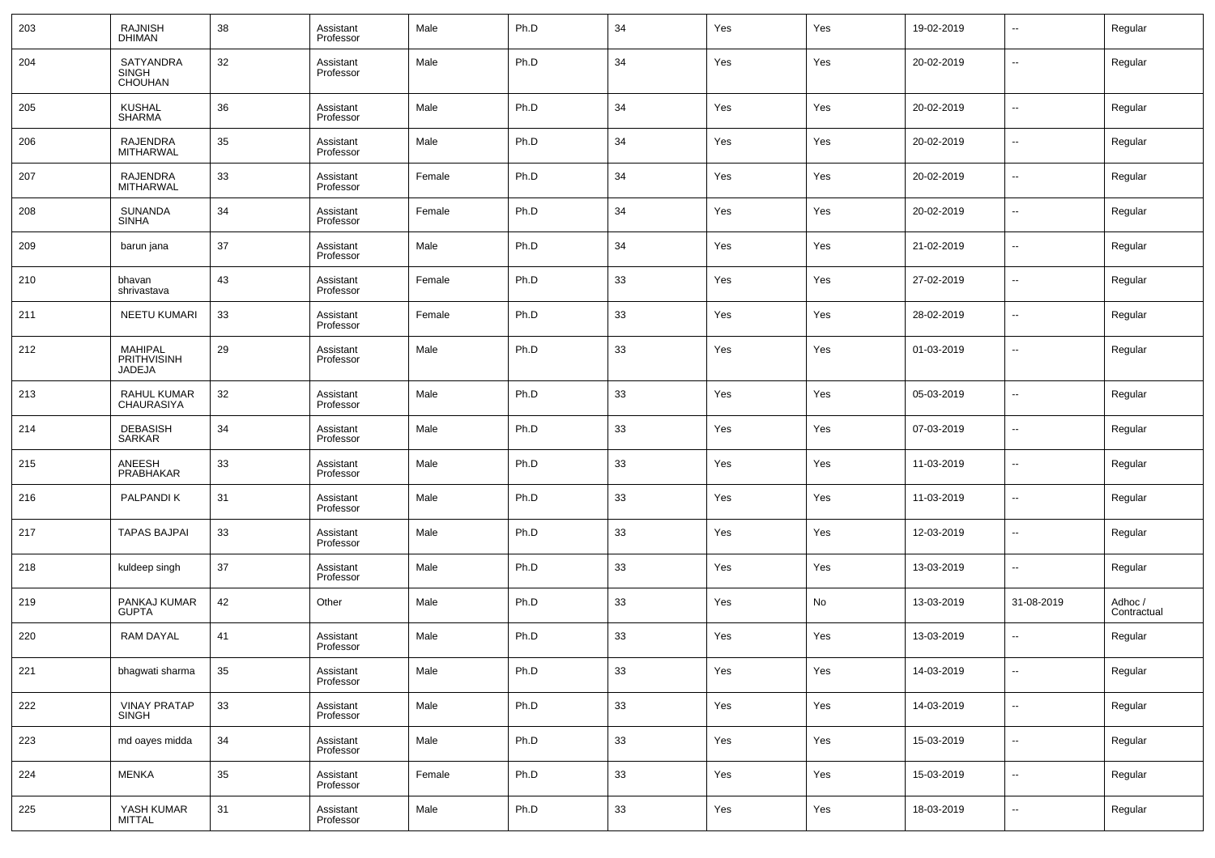| 203 | RAJNISH<br>DHIMAN                              | 38 | Assistant<br>Professor | Male   | Ph.D | 34 | Yes | Yes | 19-02-2019 | $\sim$                   | Regular               |
|-----|------------------------------------------------|----|------------------------|--------|------|----|-----|-----|------------|--------------------------|-----------------------|
| 204 | <b>SATYANDRA</b><br><b>SINGH</b><br>CHOUHAN    | 32 | Assistant<br>Professor | Male   | Ph.D | 34 | Yes | Yes | 20-02-2019 | $\overline{\phantom{a}}$ | Regular               |
| 205 | <b>KUSHAL</b><br><b>SHARMA</b>                 | 36 | Assistant<br>Professor | Male   | Ph.D | 34 | Yes | Yes | 20-02-2019 | ш,                       | Regular               |
| 206 | RAJENDRA<br><b>MITHARWAL</b>                   | 35 | Assistant<br>Professor | Male   | Ph.D | 34 | Yes | Yes | 20-02-2019 | ш,                       | Regular               |
| 207 | RAJENDRA<br><b>MITHARWAL</b>                   | 33 | Assistant<br>Professor | Female | Ph.D | 34 | Yes | Yes | 20-02-2019 | $\overline{\phantom{a}}$ | Regular               |
| 208 | SUNANDA<br><b>SINHA</b>                        | 34 | Assistant<br>Professor | Female | Ph.D | 34 | Yes | Yes | 20-02-2019 | ш,                       | Regular               |
| 209 | barun jana                                     | 37 | Assistant<br>Professor | Male   | Ph.D | 34 | Yes | Yes | 21-02-2019 | $\overline{\phantom{a}}$ | Regular               |
| 210 | bhavan<br>shrivastava                          | 43 | Assistant<br>Professor | Female | Ph.D | 33 | Yes | Yes | 27-02-2019 | ш,                       | Regular               |
| 211 | <b>NEETU KUMARI</b>                            | 33 | Assistant<br>Professor | Female | Ph.D | 33 | Yes | Yes | 28-02-2019 | $\overline{\phantom{a}}$ | Regular               |
| 212 | MAHIPAL<br><b>PRITHVISINH</b><br><b>JADEJA</b> | 29 | Assistant<br>Professor | Male   | Ph.D | 33 | Yes | Yes | 01-03-2019 | $\sim$                   | Regular               |
| 213 | RAHUL KUMAR<br><b>CHAURASIYA</b>               | 32 | Assistant<br>Professor | Male   | Ph.D | 33 | Yes | Yes | 05-03-2019 | --                       | Regular               |
| 214 | <b>DEBASISH</b><br><b>SARKAR</b>               | 34 | Assistant<br>Professor | Male   | Ph.D | 33 | Yes | Yes | 07-03-2019 | --                       | Regular               |
| 215 | ANEESH<br>PRABHAKAR                            | 33 | Assistant<br>Professor | Male   | Ph.D | 33 | Yes | Yes | 11-03-2019 | --                       | Regular               |
| 216 | PALPANDI K                                     | 31 | Assistant<br>Professor | Male   | Ph.D | 33 | Yes | Yes | 11-03-2019 | --                       | Regular               |
| 217 | <b>TAPAS BAJPAI</b>                            | 33 | Assistant<br>Professor | Male   | Ph.D | 33 | Yes | Yes | 12-03-2019 | --                       | Regular               |
| 218 | kuldeep singh                                  | 37 | Assistant<br>Professor | Male   | Ph.D | 33 | Yes | Yes | 13-03-2019 | --                       | Regular               |
| 219 | PANKAJ KUMAR<br><b>GUPTA</b>                   | 42 | Other                  | Male   | Ph.D | 33 | Yes | No  | 13-03-2019 | 31-08-2019               | Adhoc/<br>Contractual |
| 220 | <b>RAM DAYAL</b>                               | 41 | Assistant<br>Professor | Male   | Ph.D | 33 | Yes | Yes | 13-03-2019 | $\overline{\phantom{a}}$ | Regular               |
| 221 | bhagwati sharma                                | 35 | Assistant<br>Professor | Male   | Ph.D | 33 | Yes | Yes | 14-03-2019 | $\overline{\phantom{a}}$ | Regular               |
| 222 | <b>VINAY PRATAP</b><br>SINGH                   | 33 | Assistant<br>Professor | Male   | Ph.D | 33 | Yes | Yes | 14-03-2019 | ω,                       | Regular               |
| 223 | md oayes midda                                 | 34 | Assistant<br>Professor | Male   | Ph.D | 33 | Yes | Yes | 15-03-2019 | ц.                       | Regular               |
| 224 | <b>MENKA</b>                                   | 35 | Assistant<br>Professor | Female | Ph.D | 33 | Yes | Yes | 15-03-2019 | ω,                       | Regular               |
| 225 | YASH KUMAR<br>MITTAL                           | 31 | Assistant<br>Professor | Male   | Ph.D | 33 | Yes | Yes | 18-03-2019 | ٠.                       | Regular               |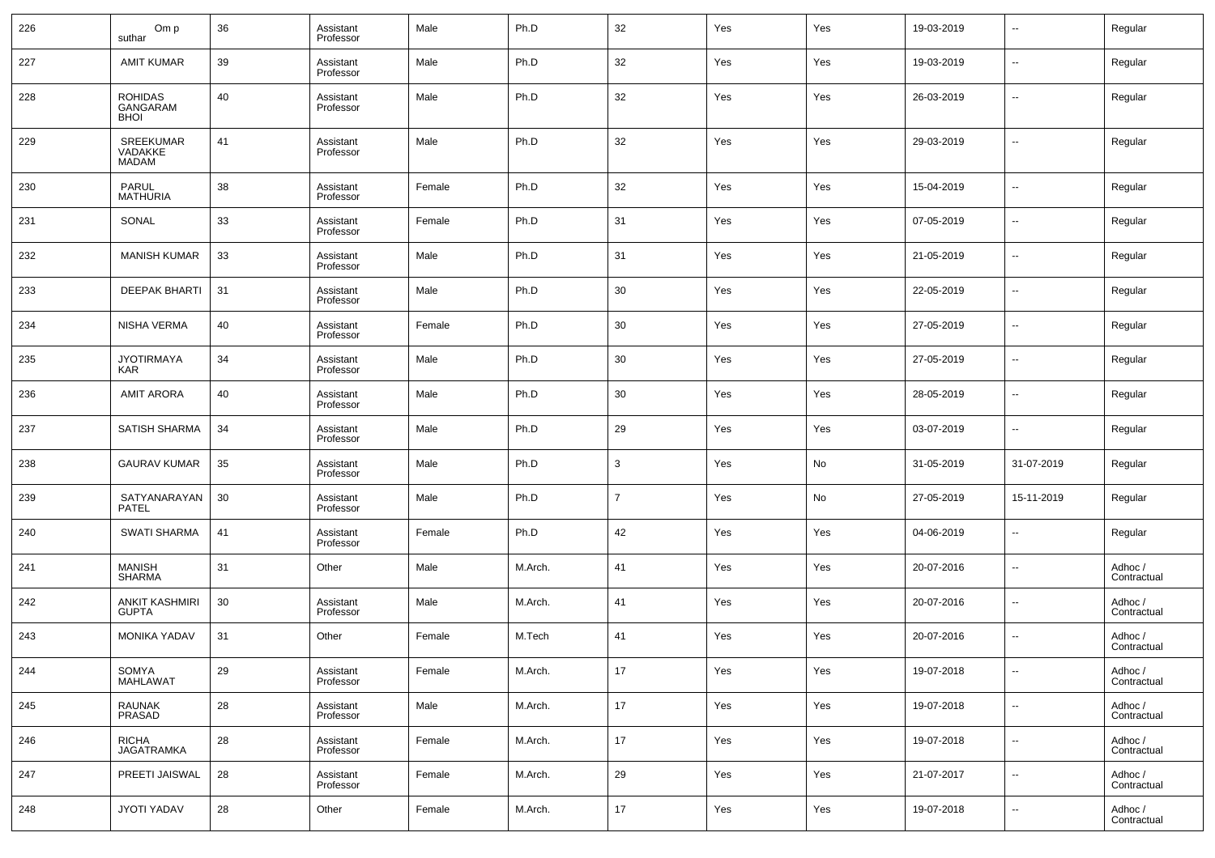| 226 | Om p<br>suthar                            | 36 | Assistant<br>Professor | Male   | Ph.D    | 32             | Yes | Yes | 19-03-2019 | $\overline{\phantom{a}}$ | Regular                |
|-----|-------------------------------------------|----|------------------------|--------|---------|----------------|-----|-----|------------|--------------------------|------------------------|
| 227 | <b>AMIT KUMAR</b>                         | 39 | Assistant<br>Professor | Male   | Ph.D    | 32             | Yes | Yes | 19-03-2019 | $\overline{\phantom{a}}$ | Regular                |
| 228 | <b>ROHIDAS</b><br>GANGARAM<br><b>BHOI</b> | 40 | Assistant<br>Professor | Male   | Ph.D    | 32             | Yes | Yes | 26-03-2019 | $\overline{\phantom{a}}$ | Regular                |
| 229 | SREEKUMAR<br>VADAKKE<br><b>MADAM</b>      | 41 | Assistant<br>Professor | Male   | Ph.D    | 32             | Yes | Yes | 29-03-2019 | $\sim$                   | Regular                |
| 230 | PARUL<br><b>MATHURIA</b>                  | 38 | Assistant<br>Professor | Female | Ph.D    | 32             | Yes | Yes | 15-04-2019 | $\overline{\phantom{a}}$ | Regular                |
| 231 | SONAL                                     | 33 | Assistant<br>Professor | Female | Ph.D    | 31             | Yes | Yes | 07-05-2019 | $\overline{\phantom{a}}$ | Regular                |
| 232 | <b>MANISH KUMAR</b>                       | 33 | Assistant<br>Professor | Male   | Ph.D    | 31             | Yes | Yes | 21-05-2019 | $\overline{\phantom{a}}$ | Regular                |
| 233 | <b>DEEPAK BHARTI</b>                      | 31 | Assistant<br>Professor | Male   | Ph.D    | 30             | Yes | Yes | 22-05-2019 | $\overline{\phantom{a}}$ | Regular                |
| 234 | <b>NISHA VERMA</b>                        | 40 | Assistant<br>Professor | Female | Ph.D    | 30             | Yes | Yes | 27-05-2019 | $\overline{\phantom{a}}$ | Regular                |
| 235 | <b>JYOTIRMAYA</b><br><b>KAR</b>           | 34 | Assistant<br>Professor | Male   | Ph.D    | 30             | Yes | Yes | 27-05-2019 | $\overline{\phantom{a}}$ | Regular                |
| 236 | <b>AMIT ARORA</b>                         | 40 | Assistant<br>Professor | Male   | Ph.D    | 30             | Yes | Yes | 28-05-2019 | $\overline{\phantom{a}}$ | Regular                |
| 237 | SATISH SHARMA                             | 34 | Assistant<br>Professor | Male   | Ph.D    | 29             | Yes | Yes | 03-07-2019 | $\overline{\phantom{a}}$ | Regular                |
| 238 | <b>GAURAV KUMAR</b>                       | 35 | Assistant<br>Professor | Male   | Ph.D    | $\mathbf{3}$   | Yes | No  | 31-05-2019 | 31-07-2019               | Regular                |
| 239 | SATYANARAYAN<br><b>PATEL</b>              | 30 | Assistant<br>Professor | Male   | Ph.D    | $\overline{7}$ | Yes | No  | 27-05-2019 | 15-11-2019               | Regular                |
| 240 | <b>SWATI SHARMA</b>                       | 41 | Assistant<br>Professor | Female | Ph.D    | 42             | Yes | Yes | 04-06-2019 | $\overline{\phantom{a}}$ | Regular                |
| 241 | <b>MANISH</b><br><b>SHARMA</b>            | 31 | Other                  | Male   | M.Arch. | 41             | Yes | Yes | 20-07-2016 | $\overline{\phantom{a}}$ | Adhoc /<br>Contractual |
| 242 | <b>ANKIT KASHMIRI</b><br><b>GUPTA</b>     | 30 | Assistant<br>Professor | Male   | M.Arch. | 41             | Yes | Yes | 20-07-2016 | $\overline{\phantom{a}}$ | Adhoc /<br>Contractual |
| 243 | <b>MONIKA YADAV</b>                       | 31 | Other                  | Female | M.Tech  | 41             | Yes | Yes | 20-07-2016 | $\overline{\phantom{a}}$ | Adhoc /<br>Contractual |
| 244 | SOMYA<br>MAHLAWAT                         | 29 | Assistant<br>Professor | Female | M.Arch. | $17\,$         | Yes | Yes | 19-07-2018 | $\overline{\phantom{a}}$ | Adhoc /<br>Contractual |
| 245 | RAUNAK<br>PRASAD                          | 28 | Assistant<br>Professor | Male   | M.Arch. | 17             | Yes | Yes | 19-07-2018 | $\sim$                   | Adhoc /<br>Contractual |
| 246 | <b>RICHA</b><br><b>JAGATRAMKA</b>         | 28 | Assistant<br>Professor | Female | M.Arch. | 17             | Yes | Yes | 19-07-2018 | $\overline{\phantom{a}}$ | Adhoc /<br>Contractual |
| 247 | PREETI JAISWAL                            | 28 | Assistant<br>Professor | Female | M.Arch. | 29             | Yes | Yes | 21-07-2017 | $\sim$                   | Adhoc /<br>Contractual |
| 248 | JYOTI YADAV                               | 28 | Other                  | Female | M.Arch. | 17             | Yes | Yes | 19-07-2018 | $\overline{\phantom{a}}$ | Adhoc /<br>Contractual |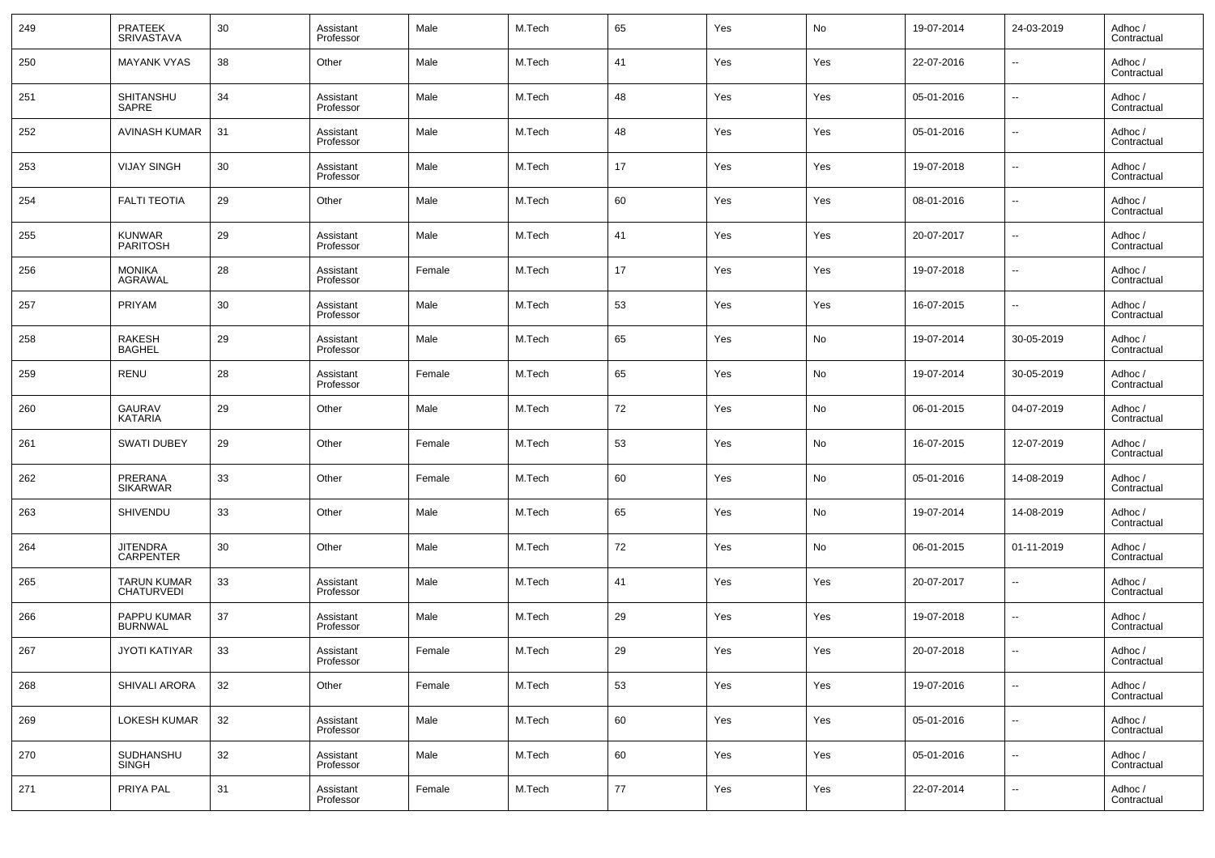| 249 | <b>PRATEEK</b><br><b>SRIVASTAVA</b>     | 30 | Assistant<br>Professor | Male   | M.Tech | 65     | Yes | No  | 19-07-2014 | 24-03-2019               | Adhoc /<br>Contractual |
|-----|-----------------------------------------|----|------------------------|--------|--------|--------|-----|-----|------------|--------------------------|------------------------|
| 250 | <b>MAYANK VYAS</b>                      | 38 | Other                  | Male   | M.Tech | 41     | Yes | Yes | 22-07-2016 | $\overline{\phantom{a}}$ | Adhoc /<br>Contractual |
| 251 | SHITANSHU<br>SAPRE                      | 34 | Assistant<br>Professor | Male   | M.Tech | 48     | Yes | Yes | 05-01-2016 | $\overline{\phantom{a}}$ | Adhoc /<br>Contractual |
| 252 | AVINASH KUMAR                           | 31 | Assistant<br>Professor | Male   | M.Tech | 48     | Yes | Yes | 05-01-2016 | $\overline{\phantom{a}}$ | Adhoc /<br>Contractual |
| 253 | <b>VIJAY SINGH</b>                      | 30 | Assistant<br>Professor | Male   | M.Tech | 17     | Yes | Yes | 19-07-2018 | $\overline{\phantom{a}}$ | Adhoc /<br>Contractual |
| 254 | <b>FALTI TEOTIA</b>                     | 29 | Other                  | Male   | M.Tech | 60     | Yes | Yes | 08-01-2016 | $\overline{\phantom{a}}$ | Adhoc /<br>Contractual |
| 255 | <b>KUNWAR</b><br><b>PARITOSH</b>        | 29 | Assistant<br>Professor | Male   | M.Tech | 41     | Yes | Yes | 20-07-2017 | $\overline{\phantom{a}}$ | Adhoc /<br>Contractual |
| 256 | <b>MONIKA</b><br><b>AGRAWAL</b>         | 28 | Assistant<br>Professor | Female | M.Tech | 17     | Yes | Yes | 19-07-2018 | $\overline{\phantom{a}}$ | Adhoc /<br>Contractual |
| 257 | PRIYAM                                  | 30 | Assistant<br>Professor | Male   | M.Tech | 53     | Yes | Yes | 16-07-2015 | $\overline{\phantom{a}}$ | Adhoc /<br>Contractual |
| 258 | <b>RAKESH</b><br><b>BAGHEL</b>          | 29 | Assistant<br>Professor | Male   | M.Tech | 65     | Yes | No  | 19-07-2014 | 30-05-2019               | Adhoc /<br>Contractual |
| 259 | RENU                                    | 28 | Assistant<br>Professor | Female | M.Tech | 65     | Yes | No  | 19-07-2014 | 30-05-2019               | Adhoc /<br>Contractual |
| 260 | GAURAV<br><b>KATARIA</b>                | 29 | Other                  | Male   | M.Tech | 72     | Yes | No  | 06-01-2015 | 04-07-2019               | Adhoc /<br>Contractual |
| 261 | <b>SWATI DUBEY</b>                      | 29 | Other                  | Female | M.Tech | 53     | Yes | No  | 16-07-2015 | 12-07-2019               | Adhoc /<br>Contractual |
| 262 | PRERANA<br><b>SIKARWAR</b>              | 33 | Other                  | Female | M.Tech | 60     | Yes | No  | 05-01-2016 | 14-08-2019               | Adhoc /<br>Contractual |
| 263 | SHIVENDU                                | 33 | Other                  | Male   | M.Tech | 65     | Yes | No  | 19-07-2014 | 14-08-2019               | Adhoc /<br>Contractual |
| 264 | <b>JITENDRA</b><br><b>CARPENTER</b>     | 30 | Other                  | Male   | M.Tech | 72     | Yes | No  | 06-01-2015 | 01-11-2019               | Adhoc /<br>Contractual |
| 265 | <b>TARUN KUMAR</b><br><b>CHATURVEDI</b> | 33 | Assistant<br>Professor | Male   | M.Tech | 41     | Yes | Yes | 20-07-2017 | $\overline{\phantom{a}}$ | Adhoc /<br>Contractual |
| 266 | PAPPU KUMAR<br><b>BURNWAL</b>           | 37 | Assistant<br>Professor | Male   | M.Tech | 29     | Yes | Yes | 19-07-2018 | $\overline{\phantom{a}}$ | Adhoc /<br>Contractual |
| 267 | <b>JYOTI KATIYAR</b>                    | 33 | Assistant<br>Professor | Female | M.Tech | 29     | Yes | Yes | 20-07-2018 | $\overline{\phantom{a}}$ | Adhoc /<br>Contractual |
| 268 | <b>SHIVALI ARORA</b>                    | 32 | Other                  | Female | M.Tech | 53     | Yes | Yes | 19-07-2016 | ۰.                       | Adhoc /<br>Contractual |
| 269 | LOKESH KUMAR                            | 32 | Assistant<br>Professor | Male   | M.Tech | 60     | Yes | Yes | 05-01-2016 | $\overline{\phantom{a}}$ | Adhoc /<br>Contractual |
| 270 | SUDHANSHU<br><b>SINGH</b>               | 32 | Assistant<br>Professor | Male   | M.Tech | 60     | Yes | Yes | 05-01-2016 | ۰.                       | Adhoc /<br>Contractual |
| 271 | PRIYA PAL                               | 31 | Assistant<br>Professor | Female | M.Tech | $77\,$ | Yes | Yes | 22-07-2014 | ۰.                       | Adhoc /<br>Contractual |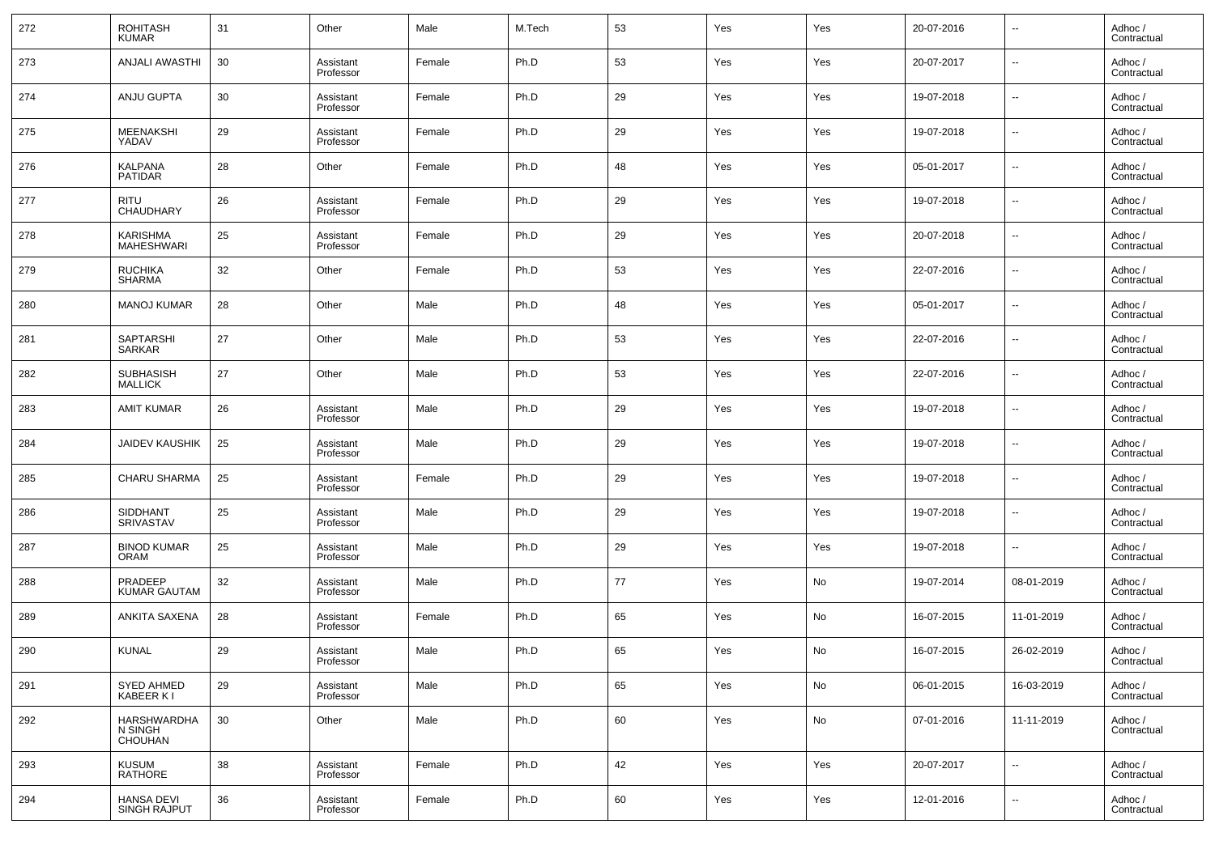| 272 | <b>ROHITASH</b><br><b>KUMAR</b>          | 31 | Other                  | Male   | M.Tech | 53 | Yes | Yes | 20-07-2016 | $\overline{\phantom{a}}$ | Adhoc /<br>Contractual |
|-----|------------------------------------------|----|------------------------|--------|--------|----|-----|-----|------------|--------------------------|------------------------|
| 273 | <b>ANJALI AWASTHI</b>                    | 30 | Assistant<br>Professor | Female | Ph.D   | 53 | Yes | Yes | 20-07-2017 | $\overline{\phantom{a}}$ | Adhoc /<br>Contractual |
| 274 | ANJU GUPTA                               | 30 | Assistant<br>Professor | Female | Ph.D   | 29 | Yes | Yes | 19-07-2018 | $\overline{\phantom{a}}$ | Adhoc /<br>Contractual |
| 275 | <b>MEENAKSHI</b><br>YADAV                | 29 | Assistant<br>Professor | Female | Ph.D   | 29 | Yes | Yes | 19-07-2018 | $\overline{\phantom{a}}$ | Adhoc /<br>Contractual |
| 276 | <b>KALPANA</b><br><b>PATIDAR</b>         | 28 | Other                  | Female | Ph.D   | 48 | Yes | Yes | 05-01-2017 | $\overline{\phantom{a}}$ | Adhoc /<br>Contractual |
| 277 | <b>RITU</b><br><b>CHAUDHARY</b>          | 26 | Assistant<br>Professor | Female | Ph.D   | 29 | Yes | Yes | 19-07-2018 | $\overline{\phantom{a}}$ | Adhoc /<br>Contractual |
| 278 | <b>KARISHMA</b><br>MAHESHWARI            | 25 | Assistant<br>Professor | Female | Ph.D   | 29 | Yes | Yes | 20-07-2018 | $\overline{\phantom{a}}$ | Adhoc /<br>Contractual |
| 279 | <b>RUCHIKA</b><br><b>SHARMA</b>          | 32 | Other                  | Female | Ph.D   | 53 | Yes | Yes | 22-07-2016 | $\overline{\phantom{a}}$ | Adhoc /<br>Contractual |
| 280 | <b>MANOJ KUMAR</b>                       | 28 | Other                  | Male   | Ph.D   | 48 | Yes | Yes | 05-01-2017 | $\overline{\phantom{a}}$ | Adhoc /<br>Contractual |
| 281 | <b>SAPTARSHI</b><br><b>SARKAR</b>        | 27 | Other                  | Male   | Ph.D   | 53 | Yes | Yes | 22-07-2016 | $\overline{\phantom{a}}$ | Adhoc /<br>Contractual |
| 282 | <b>SUBHASISH</b><br><b>MALLICK</b>       | 27 | Other                  | Male   | Ph.D   | 53 | Yes | Yes | 22-07-2016 | $\overline{\phantom{a}}$ | Adhoc /<br>Contractual |
| 283 | <b>AMIT KUMAR</b>                        | 26 | Assistant<br>Professor | Male   | Ph.D   | 29 | Yes | Yes | 19-07-2018 | $\overline{\phantom{a}}$ | Adhoc /<br>Contractual |
| 284 | <b>JAIDEV KAUSHIK</b>                    | 25 | Assistant<br>Professor | Male   | Ph.D   | 29 | Yes | Yes | 19-07-2018 | $\overline{\phantom{a}}$ | Adhoc /<br>Contractual |
| 285 | <b>CHARU SHARMA</b>                      | 25 | Assistant<br>Professor | Female | Ph.D   | 29 | Yes | Yes | 19-07-2018 | $\overline{\phantom{a}}$ | Adhoc /<br>Contractual |
| 286 | SIDDHANT<br><b>SRIVASTAV</b>             | 25 | Assistant<br>Professor | Male   | Ph.D   | 29 | Yes | Yes | 19-07-2018 | $\overline{\phantom{a}}$ | Adhoc /<br>Contractual |
| 287 | <b>BINOD KUMAR</b><br><b>ORAM</b>        | 25 | Assistant<br>Professor | Male   | Ph.D   | 29 | Yes | Yes | 19-07-2018 | $\overline{\phantom{a}}$ | Adhoc /<br>Contractual |
| 288 | PRADEEP<br><b>KUMAR GAUTAM</b>           | 32 | Assistant<br>Professor | Male   | Ph.D   | 77 | Yes | No  | 19-07-2014 | 08-01-2019               | Adhoc /<br>Contractual |
| 289 | ANKITA SAXENA                            | 28 | Assistant<br>Professor | Female | Ph.D   | 65 | Yes | No  | 16-07-2015 | 11-01-2019               | Adhoc /<br>Contractual |
| 290 | <b>KUNAL</b>                             | 29 | Assistant<br>Professor | Male   | Ph.D   | 65 | Yes | No  | 16-07-2015 | 26-02-2019               | Adhoc /<br>Contractual |
| 291 | <b>SYED AHMED</b><br>KABEER KI           | 29 | Assistant<br>Professor | Male   | Ph.D   | 65 | Yes | No  | 06-01-2015 | 16-03-2019               | Adhoc /<br>Contractual |
| 292 | HARSHWARDHA<br>N SINGH<br>CHOUHAN        | 30 | Other                  | Male   | Ph.D   | 60 | Yes | No  | 07-01-2016 | 11-11-2019               | Adhoc /<br>Contractual |
| 293 | <b>KUSUM</b><br><b>RATHORE</b>           | 38 | Assistant<br>Professor | Female | Ph.D   | 42 | Yes | Yes | 20-07-2017 | $\overline{\phantom{a}}$ | Adhoc /<br>Contractual |
| 294 | <b>HANSA DEVI</b><br><b>SINGH RAJPUT</b> | 36 | Assistant<br>Professor | Female | Ph.D   | 60 | Yes | Yes | 12-01-2016 | ۰.                       | Adhoc /<br>Contractual |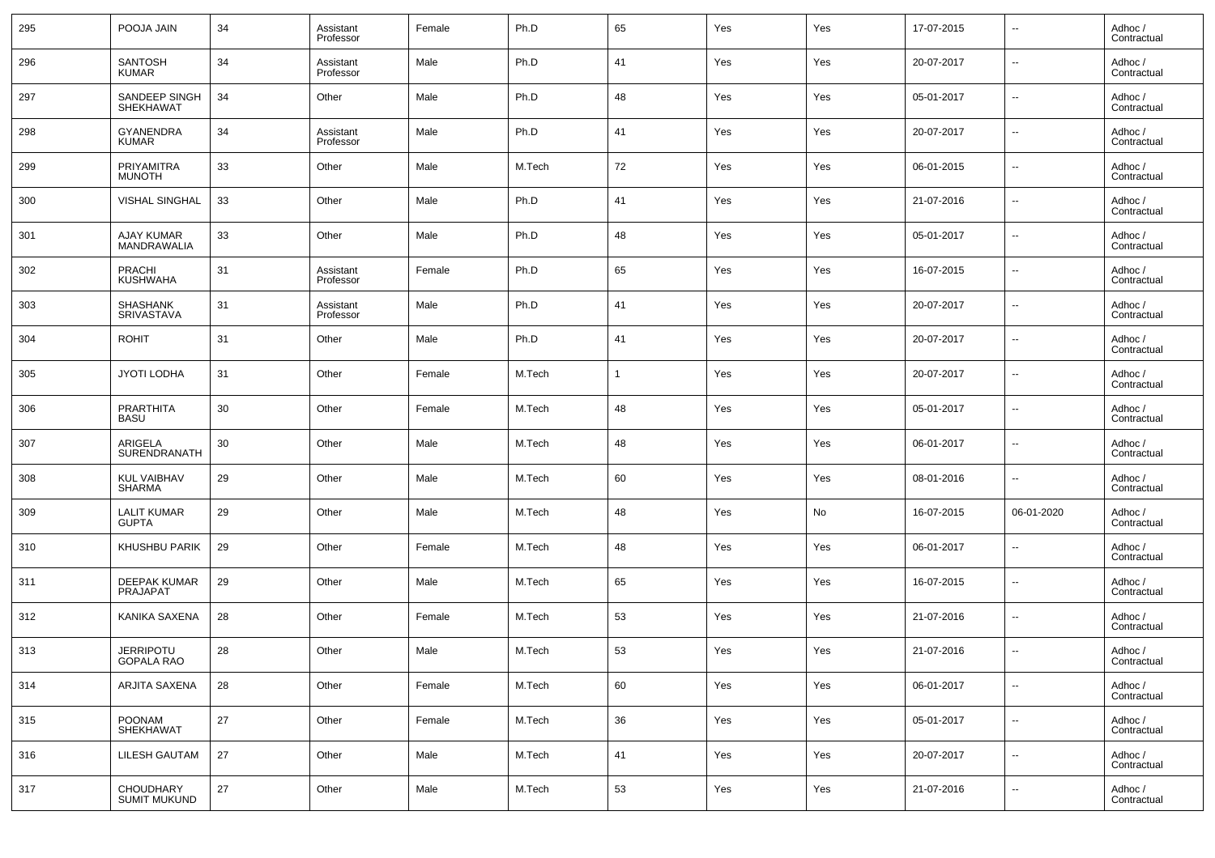| 295 | POOJA JAIN                              | 34 | Assistant<br>Professor | Female | Ph.D   | 65           | Yes | Yes | 17-07-2015 | $\overline{\phantom{a}}$ | Adhoc /<br>Contractual |
|-----|-----------------------------------------|----|------------------------|--------|--------|--------------|-----|-----|------------|--------------------------|------------------------|
| 296 | <b>SANTOSH</b><br><b>KUMAR</b>          | 34 | Assistant<br>Professor | Male   | Ph.D   | 41           | Yes | Yes | 20-07-2017 | $\overline{\phantom{a}}$ | Adhoc /<br>Contractual |
| 297 | SANDEEP SINGH<br>SHEKHAWAT              | 34 | Other                  | Male   | Ph.D   | 48           | Yes | Yes | 05-01-2017 | $\overline{\phantom{a}}$ | Adhoc /<br>Contractual |
| 298 | <b>GYANENDRA</b><br><b>KUMAR</b>        | 34 | Assistant<br>Professor | Male   | Ph.D   | 41           | Yes | Yes | 20-07-2017 | $\overline{\phantom{a}}$ | Adhoc /<br>Contractual |
| 299 | <b>PRIYAMITRA</b><br><b>MUNOTH</b>      | 33 | Other                  | Male   | M.Tech | 72           | Yes | Yes | 06-01-2015 | $\overline{\phantom{a}}$ | Adhoc /<br>Contractual |
| 300 | <b>VISHAL SINGHAL</b>                   | 33 | Other                  | Male   | Ph.D   | 41           | Yes | Yes | 21-07-2016 | $\overline{\phantom{a}}$ | Adhoc /<br>Contractual |
| 301 | <b>AJAY KUMAR</b><br><b>MANDRAWALIA</b> | 33 | Other                  | Male   | Ph.D   | 48           | Yes | Yes | 05-01-2017 | $\overline{\phantom{a}}$ | Adhoc /<br>Contractual |
| 302 | <b>PRACHI</b><br>KUSHWAHA               | 31 | Assistant<br>Professor | Female | Ph.D   | 65           | Yes | Yes | 16-07-2015 | $\overline{\phantom{a}}$ | Adhoc /<br>Contractual |
| 303 | <b>SHASHANK</b><br><b>SRIVASTAVA</b>    | 31 | Assistant<br>Professor | Male   | Ph.D   | 41           | Yes | Yes | 20-07-2017 | $\overline{\phantom{a}}$ | Adhoc /<br>Contractual |
| 304 | <b>ROHIT</b>                            | 31 | Other                  | Male   | Ph.D   | 41           | Yes | Yes | 20-07-2017 | $\overline{\phantom{a}}$ | Adhoc /<br>Contractual |
| 305 | <b>JYOTI LODHA</b>                      | 31 | Other                  | Female | M.Tech | $\mathbf{1}$ | Yes | Yes | 20-07-2017 | $\overline{\phantom{a}}$ | Adhoc /<br>Contractual |
| 306 | <b>PRARTHITA</b><br>BASU                | 30 | Other                  | Female | M.Tech | 48           | Yes | Yes | 05-01-2017 | $\overline{\phantom{a}}$ | Adhoc /<br>Contractual |
| 307 | ARIGELA<br>SURENDRANATH                 | 30 | Other                  | Male   | M.Tech | 48           | Yes | Yes | 06-01-2017 | $\overline{\phantom{a}}$ | Adhoc /<br>Contractual |
| 308 | <b>KUL VAIBHAV</b><br>SHARMA            | 29 | Other                  | Male   | M.Tech | 60           | Yes | Yes | 08-01-2016 | $\overline{\phantom{a}}$ | Adhoc /<br>Contractual |
| 309 | <b>LALIT KUMAR</b><br><b>GUPTA</b>      | 29 | Other                  | Male   | M.Tech | 48           | Yes | No  | 16-07-2015 | 06-01-2020               | Adhoc /<br>Contractual |
| 310 | KHUSHBU PARIK                           | 29 | Other                  | Female | M.Tech | 48           | Yes | Yes | 06-01-2017 | $\overline{\phantom{a}}$ | Adhoc /<br>Contractual |
| 311 | <b>DEEPAK KUMAR</b><br><b>PRAJAPAT</b>  | 29 | Other                  | Male   | M.Tech | 65           | Yes | Yes | 16-07-2015 | $\overline{\phantom{a}}$ | Adhoc /<br>Contractual |
| 312 | KANIKA SAXENA                           | 28 | Other                  | Female | M.Tech | 53           | Yes | Yes | 21-07-2016 | $\overline{\phantom{a}}$ | Adhoc /<br>Contractual |
| 313 | <b>JERRIPOTU</b><br>GOPALA RAO          | 28 | Other                  | Male   | M.Tech | 53           | Yes | Yes | 21-07-2016 | $\overline{\phantom{a}}$ | Adhoc /<br>Contractual |
| 314 | ARJITA SAXENA                           | 28 | Other                  | Female | M.Tech | 60           | Yes | Yes | 06-01-2017 | $\overline{\phantom{a}}$ | Adhoc /<br>Contractual |
| 315 | POONAM<br>SHEKHAWAT                     | 27 | Other                  | Female | M.Tech | 36           | Yes | Yes | 05-01-2017 | $\overline{\phantom{a}}$ | Adhoc /<br>Contractual |
| 316 | LILESH GAUTAM                           | 27 | Other                  | Male   | M.Tech | 41           | Yes | Yes | 20-07-2017 | $\overline{\phantom{a}}$ | Adhoc /<br>Contractual |
| 317 | CHOUDHARY<br><b>SUMIT MUKUND</b>        | 27 | Other                  | Male   | M.Tech | 53           | Yes | Yes | 21-07-2016 | ۰.                       | Adhoc /<br>Contractual |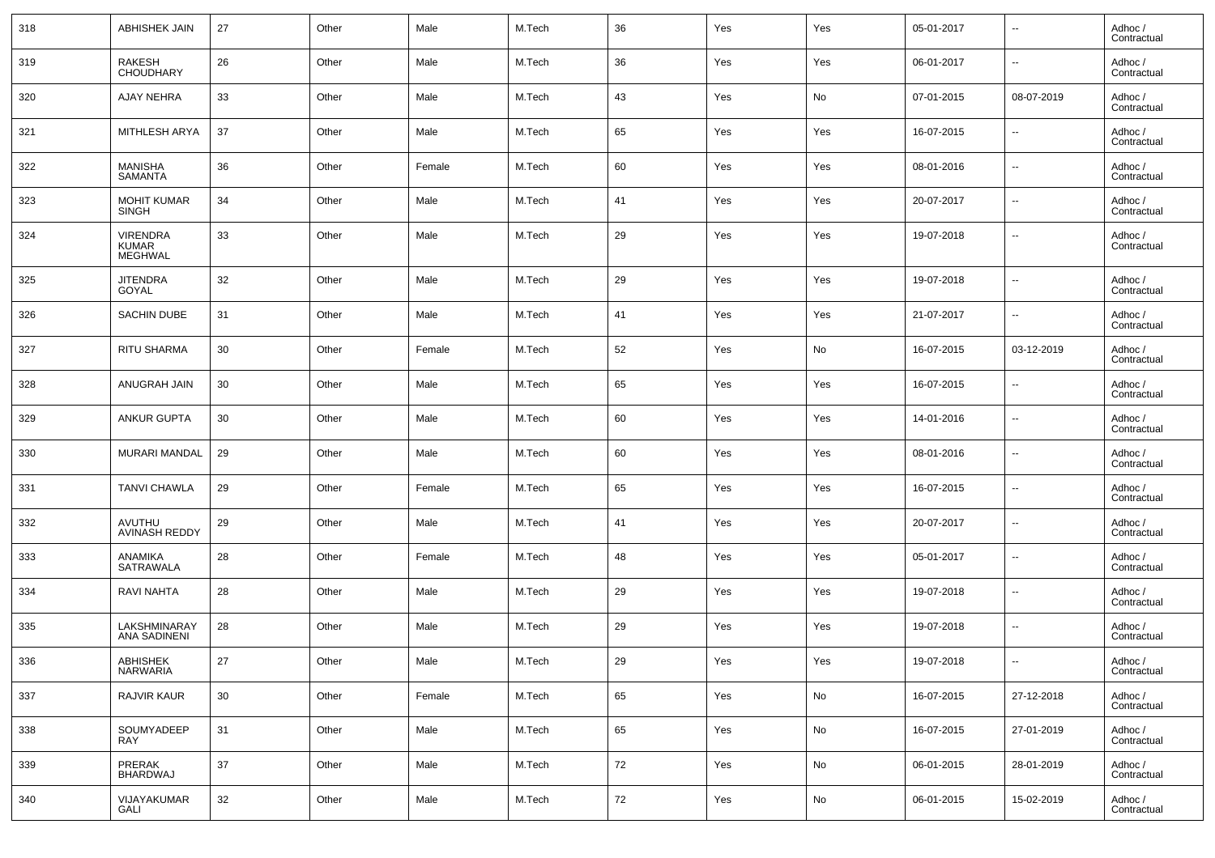| 318 | <b>ABHISHEK JAIN</b>                | 27 | Other | Male   | M.Tech | 36 | Yes | Yes | 05-01-2017 | $\overline{\phantom{a}}$ | Adhoc /<br>Contractual |
|-----|-------------------------------------|----|-------|--------|--------|----|-----|-----|------------|--------------------------|------------------------|
| 319 | RAKESH<br>CHOUDHARY                 | 26 | Other | Male   | M.Tech | 36 | Yes | Yes | 06-01-2017 | $\overline{\phantom{a}}$ | Adhoc /<br>Contractual |
| 320 | <b>AJAY NEHRA</b>                   | 33 | Other | Male   | M.Tech | 43 | Yes | No  | 07-01-2015 | 08-07-2019               | Adhoc /<br>Contractual |
| 321 | MITHLESH ARYA                       | 37 | Other | Male   | M.Tech | 65 | Yes | Yes | 16-07-2015 | $\overline{\phantom{a}}$ | Adhoc /<br>Contractual |
| 322 | MANISHA<br>SAMANTA                  | 36 | Other | Female | M.Tech | 60 | Yes | Yes | 08-01-2016 | $\overline{\phantom{a}}$ | Adhoc /<br>Contractual |
| 323 | <b>MOHIT KUMAR</b><br><b>SINGH</b>  | 34 | Other | Male   | M.Tech | 41 | Yes | Yes | 20-07-2017 | $\overline{\phantom{a}}$ | Adhoc /<br>Contractual |
| 324 | VIRENDRA<br>KUMAR<br><b>MEGHWAL</b> | 33 | Other | Male   | M.Tech | 29 | Yes | Yes | 19-07-2018 | $\overline{\phantom{a}}$ | Adhoc /<br>Contractual |
| 325 | <b>JITENDRA</b><br>GOYAL            | 32 | Other | Male   | M.Tech | 29 | Yes | Yes | 19-07-2018 | $\sim$                   | Adhoc /<br>Contractual |
| 326 | <b>SACHIN DUBE</b>                  | 31 | Other | Male   | M.Tech | 41 | Yes | Yes | 21-07-2017 | --                       | Adhoc /<br>Contractual |
| 327 | <b>RITU SHARMA</b>                  | 30 | Other | Female | M.Tech | 52 | Yes | No  | 16-07-2015 | 03-12-2019               | Adhoc /<br>Contractual |
| 328 | <b>ANUGRAH JAIN</b>                 | 30 | Other | Male   | M.Tech | 65 | Yes | Yes | 16-07-2015 | --                       | Adhoc /<br>Contractual |
| 329 | ANKUR GUPTA                         | 30 | Other | Male   | M.Tech | 60 | Yes | Yes | 14-01-2016 | $\sim$                   | Adhoc /<br>Contractual |
| 330 | MURARI MANDAL                       | 29 | Other | Male   | M.Tech | 60 | Yes | Yes | 08-01-2016 | --                       | Adhoc /<br>Contractual |
| 331 | <b>TANVI CHAWLA</b>                 | 29 | Other | Female | M.Tech | 65 | Yes | Yes | 16-07-2015 | --                       | Adhoc /<br>Contractual |
| 332 | AVUTHU<br><b>AVINASH REDDY</b>      | 29 | Other | Male   | M.Tech | 41 | Yes | Yes | 20-07-2017 | $\overline{\phantom{a}}$ | Adhoc /<br>Contractual |
| 333 | ANAMIKA<br><b>SATRAWALA</b>         | 28 | Other | Female | M.Tech | 48 | Yes | Yes | 05-01-2017 | $\sim$                   | Adhoc /<br>Contractual |
| 334 | RAVI NAHTA                          | 28 | Other | Male   | M.Tech | 29 | Yes | Yes | 19-07-2018 | $\overline{\phantom{a}}$ | Adhoc /<br>Contractual |
| 335 | LAKSHMINARAY<br>ANA SADINENI        | 28 | Other | Male   | M.Tech | 29 | Yes | Yes | 19-07-2018 | $\ddotsc$                | Adhoc /<br>Contractual |
| 336 | ABHISHEK<br>NARWARIA                | 27 | Other | Male   | M.Tech | 29 | Yes | Yes | 19-07-2018 |                          | Adhoc /<br>Contractual |
| 337 | RAJVIR KAUR                         | 30 | Other | Female | M.Tech | 65 | Yes | No  | 16-07-2015 | 27-12-2018               | Adhoc /<br>Contractual |
| 338 | SOUMYADEEP<br><b>RAY</b>            | 31 | Other | Male   | M.Tech | 65 | Yes | No  | 16-07-2015 | 27-01-2019               | Adhoc /<br>Contractual |
| 339 | PRERAK<br>BHARDWAJ                  | 37 | Other | Male   | M.Tech | 72 | Yes | No  | 06-01-2015 | 28-01-2019               | Adhoc /<br>Contractual |
| 340 | VIJAYAKUMAR<br>GALI                 | 32 | Other | Male   | M.Tech | 72 | Yes | No  | 06-01-2015 | 15-02-2019               | Adhoc /<br>Contractual |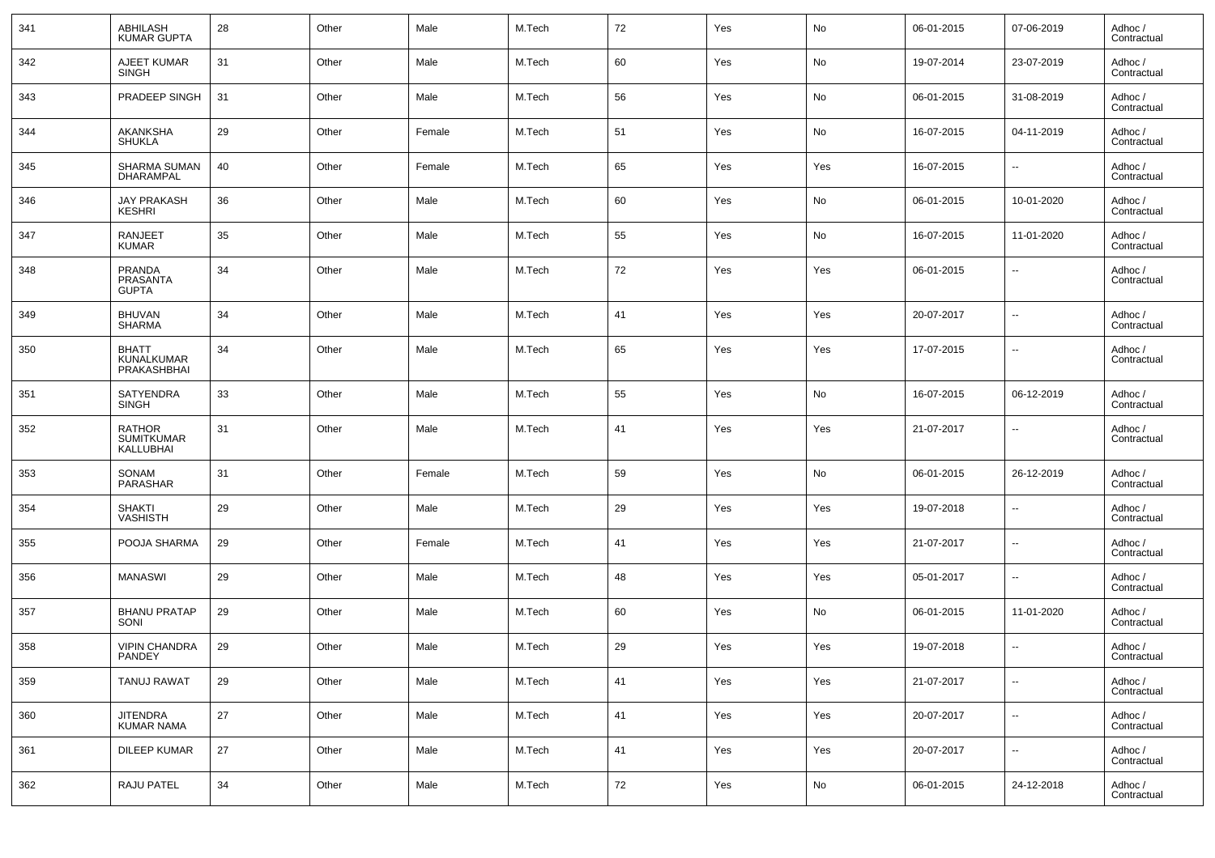| 341 | ABHILASH<br><b>KUMAR GUPTA</b>                   | 28 | Other | Male   | M.Tech | 72     | Yes | No  | 06-01-2015 | 07-06-2019               | Adhoc /<br>Contractual |
|-----|--------------------------------------------------|----|-------|--------|--------|--------|-----|-----|------------|--------------------------|------------------------|
| 342 | AJEET KUMAR<br><b>SINGH</b>                      | 31 | Other | Male   | M.Tech | 60     | Yes | No  | 19-07-2014 | 23-07-2019               | Adhoc /<br>Contractual |
| 343 | PRADEEP SINGH                                    | 31 | Other | Male   | M.Tech | 56     | Yes | No  | 06-01-2015 | 31-08-2019               | Adhoc /<br>Contractual |
| 344 | AKANKSHA<br><b>SHUKLA</b>                        | 29 | Other | Female | M.Tech | 51     | Yes | No  | 16-07-2015 | 04-11-2019               | Adhoc /<br>Contractual |
| 345 | SHARMA SUMAN<br><b>DHARAMPAL</b>                 | 40 | Other | Female | M.Tech | 65     | Yes | Yes | 16-07-2015 | $\overline{\phantom{a}}$ | Adhoc /<br>Contractual |
| 346 | <b>JAY PRAKASH</b><br><b>KESHRI</b>              | 36 | Other | Male   | M.Tech | 60     | Yes | No  | 06-01-2015 | 10-01-2020               | Adhoc /<br>Contractual |
| 347 | <b>RANJEET</b><br><b>KUMAR</b>                   | 35 | Other | Male   | M.Tech | 55     | Yes | No  | 16-07-2015 | 11-01-2020               | Adhoc /<br>Contractual |
| 348 | <b>PRANDA</b><br><b>PRASANTA</b><br><b>GUPTA</b> | 34 | Other | Male   | M.Tech | 72     | Yes | Yes | 06-01-2015 | $\overline{\phantom{a}}$ | Adhoc /<br>Contractual |
| 349 | <b>BHUVAN</b><br><b>SHARMA</b>                   | 34 | Other | Male   | M.Tech | 41     | Yes | Yes | 20-07-2017 | $\overline{\phantom{a}}$ | Adhoc /<br>Contractual |
| 350 | <b>BHATT</b><br>KUNALKUMAR<br>PRAKASHBHAI        | 34 | Other | Male   | M.Tech | 65     | Yes | Yes | 17-07-2015 | $\overline{\phantom{a}}$ | Adhoc /<br>Contractual |
| 351 | <b>SATYENDRA</b><br><b>SINGH</b>                 | 33 | Other | Male   | M.Tech | 55     | Yes | No  | 16-07-2015 | 06-12-2019               | Adhoc /<br>Contractual |
| 352 | <b>RATHOR</b><br><b>SUMITKUMAR</b><br>KALLUBHAI  | 31 | Other | Male   | M.Tech | 41     | Yes | Yes | 21-07-2017 | $\overline{\phantom{a}}$ | Adhoc /<br>Contractual |
| 353 | SONAM<br>PARASHAR                                | 31 | Other | Female | M.Tech | 59     | Yes | No  | 06-01-2015 | 26-12-2019               | Adhoc /<br>Contractual |
| 354 | <b>SHAKTI</b><br>VASHISTH                        | 29 | Other | Male   | M.Tech | 29     | Yes | Yes | 19-07-2018 | $\overline{\phantom{a}}$ | Adhoc /<br>Contractual |
| 355 | POOJA SHARMA                                     | 29 | Other | Female | M.Tech | 41     | Yes | Yes | 21-07-2017 | $\overline{\phantom{a}}$ | Adhoc /<br>Contractual |
| 356 | <b>MANASWI</b>                                   | 29 | Other | Male   | M.Tech | 48     | Yes | Yes | 05-01-2017 | $\overline{\phantom{a}}$ | Adhoc /<br>Contractual |
| 357 | <b>BHANU PRATAP</b><br>SONI                      | 29 | Other | Male   | M.Tech | 60     | Yes | No  | 06-01-2015 | 11-01-2020               | Adhoc /<br>Contractual |
| 358 | <b>VIPIN CHANDRA</b><br>PANDEY                   | 29 | Other | Male   | M.Tech | 29     | Yes | Yes | 19-07-2018 | $\overline{\phantom{a}}$ | Adhoc /<br>Contractual |
| 359 | <b>TANUJ RAWAT</b>                               | 29 | Other | Male   | M.Tech | 41     | Yes | Yes | 21-07-2017 | $\overline{\phantom{a}}$ | Adhoc /<br>Contractual |
| 360 | <b>JITENDRA</b><br><b>KUMAR NAMA</b>             | 27 | Other | Male   | M.Tech | 41     | Yes | Yes | 20-07-2017 | ۰.                       | Adhoc /<br>Contractual |
| 361 | <b>DILEEP KUMAR</b>                              | 27 | Other | Male   | M.Tech | 41     | Yes | Yes | 20-07-2017 | $\overline{\phantom{a}}$ | Adhoc /<br>Contractual |
| 362 | RAJU PATEL                                       | 34 | Other | Male   | M.Tech | $72\,$ | Yes | No  | 06-01-2015 | 24-12-2018               | Adhoc /<br>Contractual |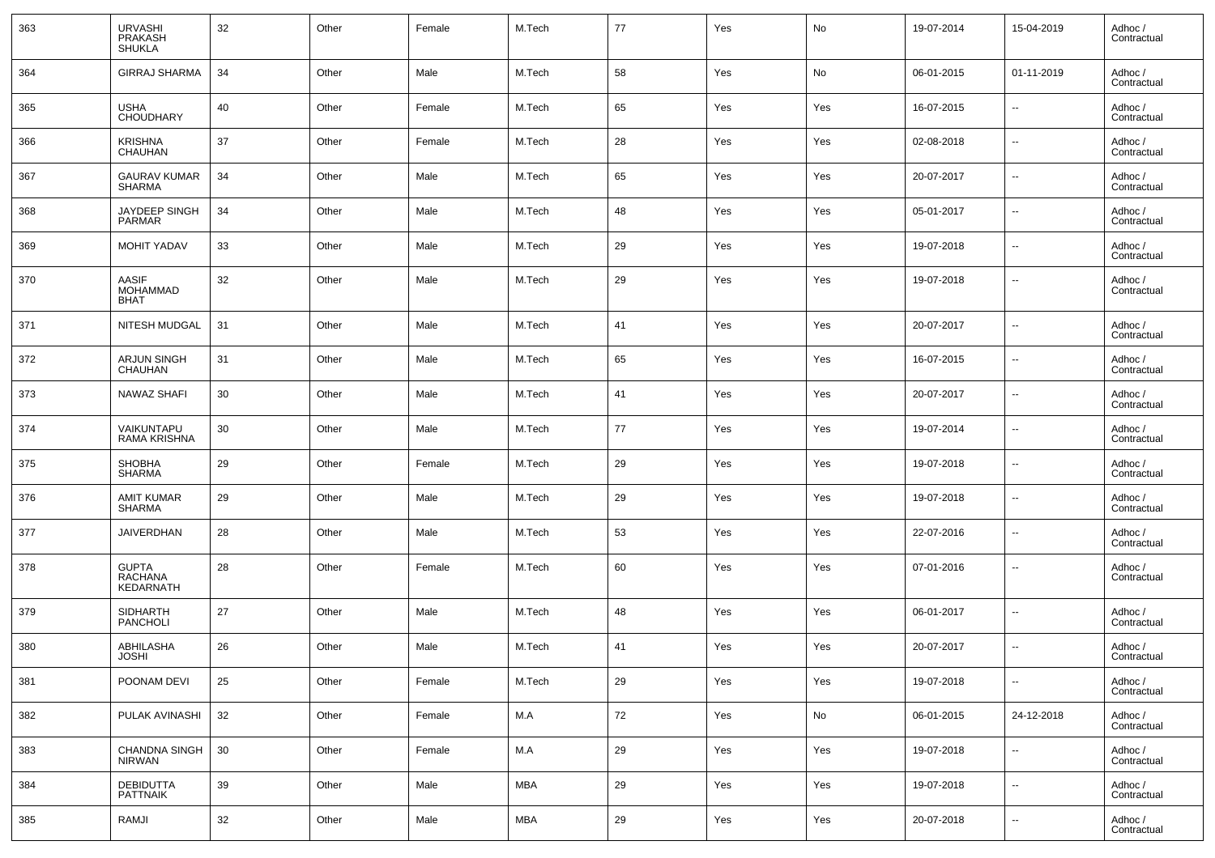| 363 | URVASHI<br>PRAKASH<br><b>SHUKLA</b>            | 32 | Other | Female | M.Tech | 77 | Yes | No  | 19-07-2014 | 15-04-2019               | Adhoc /<br>Contractual |
|-----|------------------------------------------------|----|-------|--------|--------|----|-----|-----|------------|--------------------------|------------------------|
| 364 | <b>GIRRAJ SHARMA</b>                           | 34 | Other | Male   | M.Tech | 58 | Yes | No  | 06-01-2015 | 01-11-2019               | Adhoc /<br>Contractual |
| 365 | <b>USHA</b><br><b>CHOUDHARY</b>                | 40 | Other | Female | M.Tech | 65 | Yes | Yes | 16-07-2015 | $\overline{\phantom{a}}$ | Adhoc /<br>Contractual |
| 366 | <b>KRISHNA</b><br><b>CHAUHAN</b>               | 37 | Other | Female | M.Tech | 28 | Yes | Yes | 02-08-2018 | $\overline{\phantom{a}}$ | Adhoc /<br>Contractual |
| 367 | <b>GAURAV KUMAR</b><br><b>SHARMA</b>           | 34 | Other | Male   | M.Tech | 65 | Yes | Yes | 20-07-2017 | $\overline{\phantom{a}}$ | Adhoc /<br>Contractual |
| 368 | JAYDEEP SINGH<br><b>PARMAR</b>                 | 34 | Other | Male   | M.Tech | 48 | Yes | Yes | 05-01-2017 | $\sim$                   | Adhoc /<br>Contractual |
| 369 | <b>MOHIT YADAV</b>                             | 33 | Other | Male   | M.Tech | 29 | Yes | Yes | 19-07-2018 | $\overline{\phantom{a}}$ | Adhoc /<br>Contractual |
| 370 | <b>AASIF</b><br><b>MOHAMMAD</b><br><b>BHAT</b> | 32 | Other | Male   | M.Tech | 29 | Yes | Yes | 19-07-2018 | $\sim$                   | Adhoc /<br>Contractual |
| 371 | NITESH MUDGAL                                  | 31 | Other | Male   | M.Tech | 41 | Yes | Yes | 20-07-2017 | $\overline{\phantom{a}}$ | Adhoc /<br>Contractual |
| 372 | <b>ARJUN SINGH</b><br><b>CHAUHAN</b>           | 31 | Other | Male   | M.Tech | 65 | Yes | Yes | 16-07-2015 | $\sim$                   | Adhoc /<br>Contractual |
| 373 | <b>NAWAZ SHAFI</b>                             | 30 | Other | Male   | M.Tech | 41 | Yes | Yes | 20-07-2017 | $\overline{\phantom{a}}$ | Adhoc /<br>Contractual |
| 374 | VAIKUNTAPU<br>RAMA KRISHNA                     | 30 | Other | Male   | M.Tech | 77 | Yes | Yes | 19-07-2014 | $\sim$                   | Adhoc /<br>Contractual |
| 375 | <b>SHOBHA</b><br><b>SHARMA</b>                 | 29 | Other | Female | M.Tech | 29 | Yes | Yes | 19-07-2018 | $\sim$                   | Adhoc /<br>Contractual |
| 376 | AMIT KUMAR<br>SHARMA                           | 29 | Other | Male   | M.Tech | 29 | Yes | Yes | 19-07-2018 | $\overline{\phantom{a}}$ | Adhoc /<br>Contractual |
| 377 | <b>JAIVERDHAN</b>                              | 28 | Other | Male   | M.Tech | 53 | Yes | Yes | 22-07-2016 | $\ddotsc$                | Adhoc /<br>Contractual |
| 378 | <b>GUPTA</b><br><b>RACHANA</b><br>KEDARNATH    | 28 | Other | Female | M.Tech | 60 | Yes | Yes | 07-01-2016 | ц,                       | Adhoc /<br>Contractual |
| 379 | <b>SIDHARTH</b><br>PANCHOLI                    | 27 | Other | Male   | M.Tech | 48 | Yes | Yes | 06-01-2017 | $\sim$                   | Adhoc /<br>Contractual |
| 380 | ABHILASHA<br><b>JOSHI</b>                      | 26 | Other | Male   | M.Tech | 41 | Yes | Yes | 20-07-2017 | $\sim$                   | Adhoc /<br>Contractual |
| 381 | POONAM DEVI                                    | 25 | Other | Female | M.Tech | 29 | Yes | Yes | 19-07-2018 | $\overline{\phantom{a}}$ | Adhoc /<br>Contractual |
| 382 | PULAK AVINASHI                                 | 32 | Other | Female | M.A    | 72 | Yes | No  | 06-01-2015 | 24-12-2018               | Adhoc /<br>Contractual |
| 383 | <b>CHANDNA SINGH</b><br>NIRWAN                 | 30 | Other | Female | M.A    | 29 | Yes | Yes | 19-07-2018 | $\overline{\phantom{a}}$ | Adhoc /<br>Contractual |
| 384 | <b>DEBIDUTTA</b><br>PATTNAIK                   | 39 | Other | Male   | MBA    | 29 | Yes | Yes | 19-07-2018 | $\overline{\phantom{a}}$ | Adhoc /<br>Contractual |
| 385 | RAMJI                                          | 32 | Other | Male   | MBA    | 29 | Yes | Yes | 20-07-2018 | $\sim$                   | Adhoc /<br>Contractual |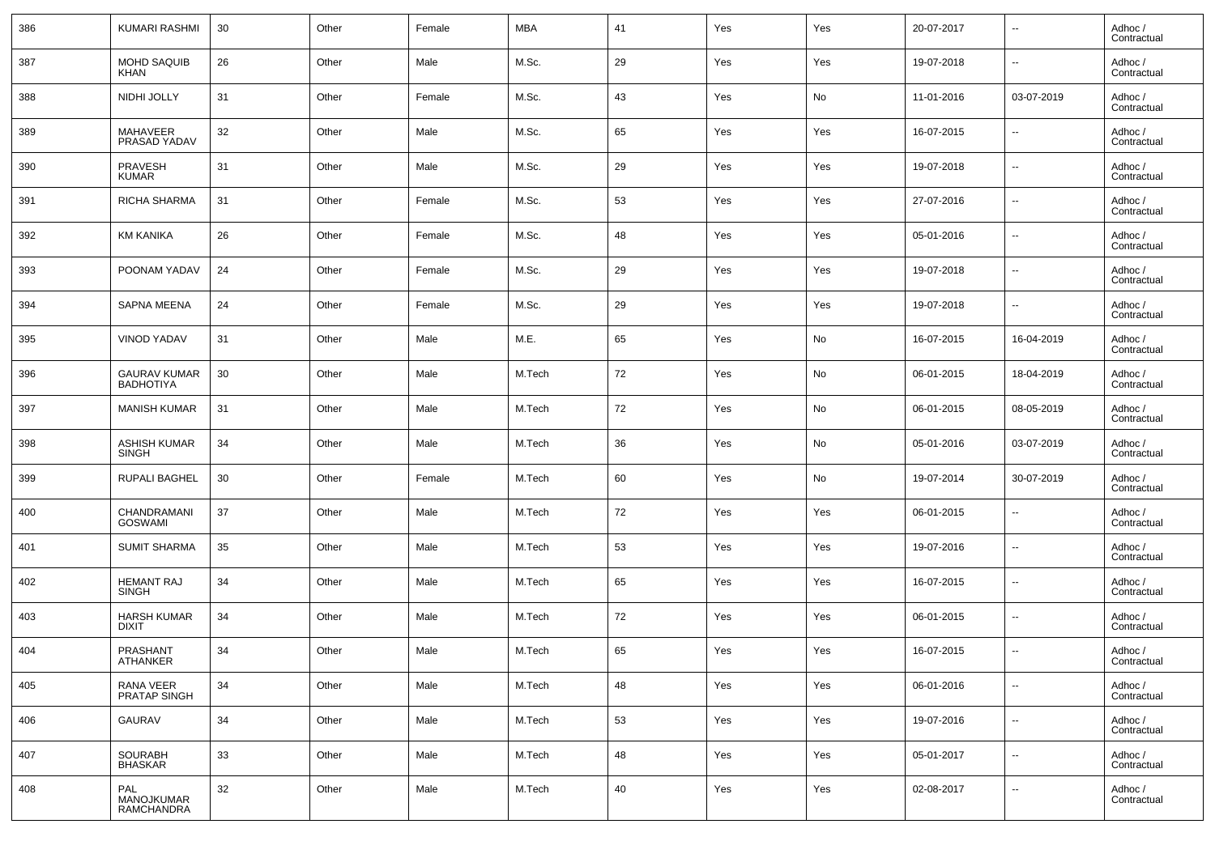| 386 | KUMARI RASHMI                           | 30 | Other | Female | MBA    | 41 | Yes | Yes | 20-07-2017 | $\overline{\phantom{a}}$ | Adhoc /<br>Contractual |
|-----|-----------------------------------------|----|-------|--------|--------|----|-----|-----|------------|--------------------------|------------------------|
| 387 | MOHD SAQUIB<br><b>KHAN</b>              | 26 | Other | Male   | M.Sc.  | 29 | Yes | Yes | 19-07-2018 | $\overline{\phantom{a}}$ | Adhoc /<br>Contractual |
| 388 | NIDHI JOLLY                             | 31 | Other | Female | M.Sc.  | 43 | Yes | No  | 11-01-2016 | 03-07-2019               | Adhoc /<br>Contractual |
| 389 | MAHAVEER<br>PRASAD YADAV                | 32 | Other | Male   | M.Sc.  | 65 | Yes | Yes | 16-07-2015 | $\overline{\phantom{a}}$ | Adhoc /<br>Contractual |
| 390 | <b>PRAVESH</b><br><b>KUMAR</b>          | 31 | Other | Male   | M.Sc.  | 29 | Yes | Yes | 19-07-2018 | $\overline{\phantom{a}}$ | Adhoc /<br>Contractual |
| 391 | <b>RICHA SHARMA</b>                     | 31 | Other | Female | M.Sc.  | 53 | Yes | Yes | 27-07-2016 | $\overline{\phantom{a}}$ | Adhoc /<br>Contractual |
| 392 | <b>KM KANIKA</b>                        | 26 | Other | Female | M.Sc.  | 48 | Yes | Yes | 05-01-2016 | $\overline{\phantom{a}}$ | Adhoc /<br>Contractual |
| 393 | POONAM YADAV                            | 24 | Other | Female | M.Sc.  | 29 | Yes | Yes | 19-07-2018 | $\overline{\phantom{a}}$ | Adhoc /<br>Contractual |
| 394 | <b>SAPNA MEENA</b>                      | 24 | Other | Female | M.Sc.  | 29 | Yes | Yes | 19-07-2018 | $\overline{\phantom{a}}$ | Adhoc /<br>Contractual |
| 395 | <b>VINOD YADAV</b>                      | 31 | Other | Male   | M.E.   | 65 | Yes | No  | 16-07-2015 | 16-04-2019               | Adhoc /<br>Contractual |
| 396 | <b>GAURAV KUMAR</b><br><b>BADHOTIYA</b> | 30 | Other | Male   | M.Tech | 72 | Yes | No  | 06-01-2015 | 18-04-2019               | Adhoc /<br>Contractual |
| 397 | <b>MANISH KUMAR</b>                     | 31 | Other | Male   | M.Tech | 72 | Yes | No  | 06-01-2015 | 08-05-2019               | Adhoc /<br>Contractual |
| 398 | <b>ASHISH KUMAR</b><br><b>SINGH</b>     | 34 | Other | Male   | M.Tech | 36 | Yes | No  | 05-01-2016 | 03-07-2019               | Adhoc /<br>Contractual |
| 399 | RUPALI BAGHEL                           | 30 | Other | Female | M.Tech | 60 | Yes | No  | 19-07-2014 | 30-07-2019               | Adhoc /<br>Contractual |
| 400 | CHANDRAMANI<br><b>GOSWAMI</b>           | 37 | Other | Male   | M.Tech | 72 | Yes | Yes | 06-01-2015 | $\overline{\phantom{a}}$ | Adhoc /<br>Contractual |
| 401 | <b>SUMIT SHARMA</b>                     | 35 | Other | Male   | M.Tech | 53 | Yes | Yes | 19-07-2016 | $\overline{\phantom{a}}$ | Adhoc /<br>Contractual |
| 402 | <b>HEMANT RAJ</b><br><b>SINGH</b>       | 34 | Other | Male   | M.Tech | 65 | Yes | Yes | 16-07-2015 | $\overline{\phantom{a}}$ | Adhoc /<br>Contractual |
| 403 | <b>HARSH KUMAR</b><br><b>DIXIT</b>      | 34 | Other | Male   | M.Tech | 72 | Yes | Yes | 06-01-2015 | $\overline{\phantom{a}}$ | Adhoc /<br>Contractual |
| 404 | PRASHANT<br>ATHANKER                    | 34 | Other | Male   | M.Tech | 65 | Yes | Yes | 16-07-2015 | $\overline{\phantom{a}}$ | Adhoc /<br>Contractual |
| 405 | RANA VEER<br>PRATAP SINGH               | 34 | Other | Male   | M.Tech | 48 | Yes | Yes | 06-01-2016 | $\overline{\phantom{a}}$ | Adhoc /<br>Contractual |
| 406 | <b>GAURAV</b>                           | 34 | Other | Male   | M.Tech | 53 | Yes | Yes | 19-07-2016 | $\overline{\phantom{a}}$ | Adhoc /<br>Contractual |
| 407 | SOURABH<br><b>BHASKAR</b>               | 33 | Other | Male   | M.Tech | 48 | Yes | Yes | 05-01-2017 | ۰.                       | Adhoc /<br>Contractual |
| 408 | PAL<br>MANOJKUMAR<br>RAMCHANDRA         | 32 | Other | Male   | M.Tech | 40 | Yes | Yes | 02-08-2017 | $\overline{\phantom{a}}$ | Adhoc /<br>Contractual |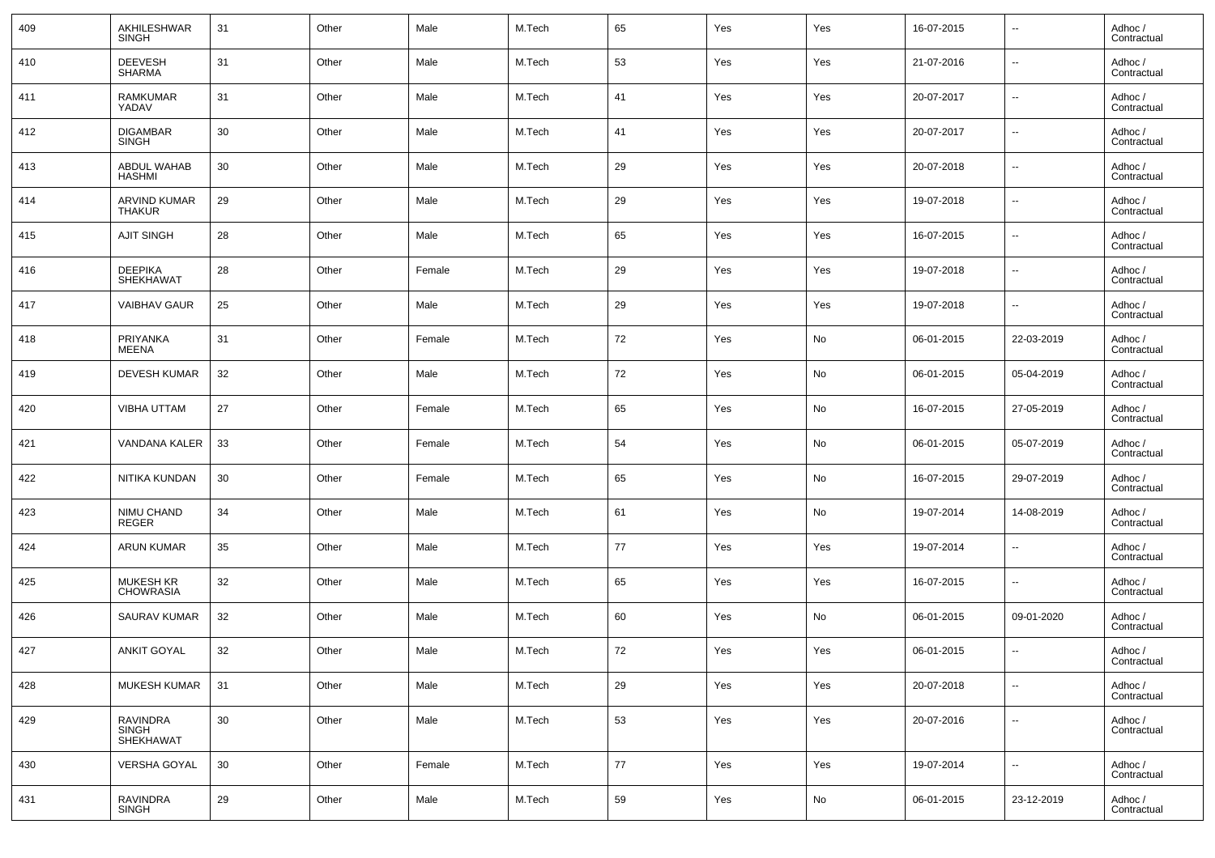| 409 | AKHILESHWAR<br><b>SINGH</b>          | 31 | Other | Male   | M.Tech | 65 | Yes | Yes | 16-07-2015 | $\overline{\phantom{a}}$ | Adhoc /<br>Contractual |
|-----|--------------------------------------|----|-------|--------|--------|----|-----|-----|------------|--------------------------|------------------------|
| 410 | <b>DEEVESH</b><br><b>SHARMA</b>      | 31 | Other | Male   | M.Tech | 53 | Yes | Yes | 21-07-2016 | $\overline{\phantom{a}}$ | Adhoc /<br>Contractual |
| 411 | <b>RAMKUMAR</b><br>YADAV             | 31 | Other | Male   | M.Tech | 41 | Yes | Yes | 20-07-2017 | $\overline{\phantom{a}}$ | Adhoc /<br>Contractual |
| 412 | <b>DIGAMBAR</b><br><b>SINGH</b>      | 30 | Other | Male   | M.Tech | 41 | Yes | Yes | 20-07-2017 | $\overline{\phantom{a}}$ | Adhoc /<br>Contractual |
| 413 | ABDUL WAHAB<br><b>HASHMI</b>         | 30 | Other | Male   | M.Tech | 29 | Yes | Yes | 20-07-2018 | $\overline{\phantom{a}}$ | Adhoc /<br>Contractual |
| 414 | <b>ARVIND KUMAR</b><br><b>THAKUR</b> | 29 | Other | Male   | M.Tech | 29 | Yes | Yes | 19-07-2018 | $\overline{\phantom{a}}$ | Adhoc /<br>Contractual |
| 415 | <b>AJIT SINGH</b>                    | 28 | Other | Male   | M.Tech | 65 | Yes | Yes | 16-07-2015 | $\overline{\phantom{a}}$ | Adhoc /<br>Contractual |
| 416 | <b>DEEPIKA</b><br><b>SHEKHAWAT</b>   | 28 | Other | Female | M.Tech | 29 | Yes | Yes | 19-07-2018 | $\overline{\phantom{a}}$ | Adhoc /<br>Contractual |
| 417 | <b>VAIBHAV GAUR</b>                  | 25 | Other | Male   | M.Tech | 29 | Yes | Yes | 19-07-2018 | $\overline{\phantom{a}}$ | Adhoc /<br>Contractual |
| 418 | PRIYANKA<br><b>MEENA</b>             | 31 | Other | Female | M.Tech | 72 | Yes | No  | 06-01-2015 | 22-03-2019               | Adhoc /<br>Contractual |
| 419 | <b>DEVESH KUMAR</b>                  | 32 | Other | Male   | M.Tech | 72 | Yes | No  | 06-01-2015 | 05-04-2019               | Adhoc /<br>Contractual |
| 420 | VIBHA UTTAM                          | 27 | Other | Female | M.Tech | 65 | Yes | No  | 16-07-2015 | 27-05-2019               | Adhoc /<br>Contractual |
| 421 | VANDANA KALER                        | 33 | Other | Female | M.Tech | 54 | Yes | No  | 06-01-2015 | 05-07-2019               | Adhoc /<br>Contractual |
| 422 | NITIKA KUNDAN                        | 30 | Other | Female | M.Tech | 65 | Yes | No  | 16-07-2015 | 29-07-2019               | Adhoc /<br>Contractual |
| 423 | NIMU CHAND<br><b>REGER</b>           | 34 | Other | Male   | M.Tech | 61 | Yes | No  | 19-07-2014 | 14-08-2019               | Adhoc /<br>Contractual |
| 424 | <b>ARUN KUMAR</b>                    | 35 | Other | Male   | M.Tech | 77 | Yes | Yes | 19-07-2014 | $\overline{\phantom{a}}$ | Adhoc /<br>Contractual |
| 425 | <b>MUKESH KR</b><br><b>CHOWRASIA</b> | 32 | Other | Male   | M.Tech | 65 | Yes | Yes | 16-07-2015 | $\overline{\phantom{a}}$ | Adhoc /<br>Contractual |
| 426 | SAURAV KUMAR                         | 32 | Other | Male   | M.Tech | 60 | Yes | No  | 06-01-2015 | 09-01-2020               | Adhoc /<br>Contractual |
| 427 | <b>ANKIT GOYAL</b>                   | 32 | Other | Male   | M.Tech | 72 | Yes | Yes | 06-01-2015 | --                       | Adhoc /<br>Contractual |
| 428 | <b>MUKESH KUMAR</b>                  | 31 | Other | Male   | M.Tech | 29 | Yes | Yes | 20-07-2018 | $\overline{\phantom{a}}$ | Adhoc /<br>Contractual |
| 429 | RAVINDRA<br>SINGH<br>SHEKHAWAT       | 30 | Other | Male   | M.Tech | 53 | Yes | Yes | 20-07-2016 | ۰.                       | Adhoc /<br>Contractual |
| 430 | VERSHA GOYAL                         | 30 | Other | Female | M.Tech | 77 | Yes | Yes | 19-07-2014 | $\overline{\phantom{a}}$ | Adhoc /<br>Contractual |
| 431 | RAVINDRA<br><b>SINGH</b>             | 29 | Other | Male   | M.Tech | 59 | Yes | No  | 06-01-2015 | 23-12-2019               | Adhoc /<br>Contractual |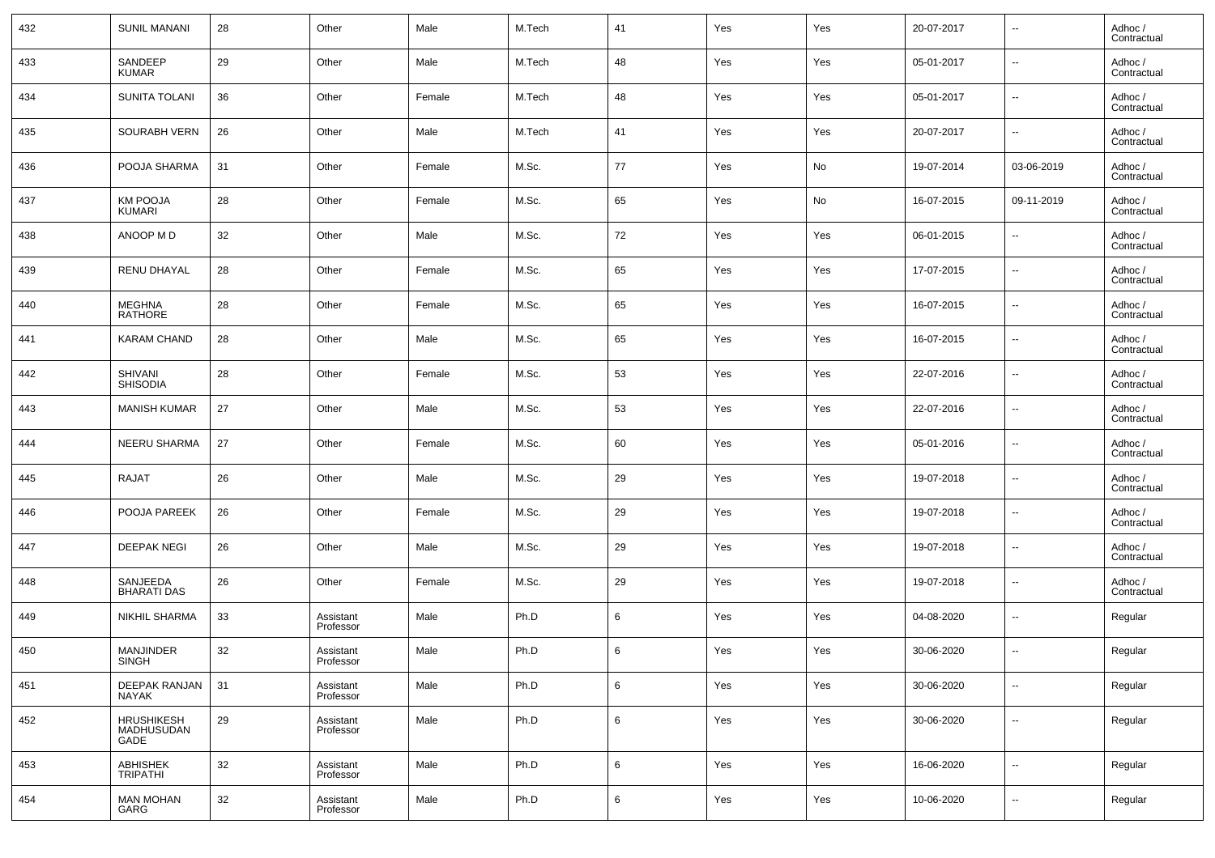| 432 | <b>SUNIL MANANI</b>                  | 28 | Other                  | Male   | M.Tech | 41              | Yes | Yes | 20-07-2017 | $\overline{\phantom{a}}$ | Adhoc /<br>Contractual |
|-----|--------------------------------------|----|------------------------|--------|--------|-----------------|-----|-----|------------|--------------------------|------------------------|
| 433 | SANDEEP<br><b>KUMAR</b>              | 29 | Other                  | Male   | M.Tech | 48              | Yes | Yes | 05-01-2017 | $\overline{\phantom{a}}$ | Adhoc /<br>Contractual |
| 434 | <b>SUNITA TOLANI</b>                 | 36 | Other                  | Female | M.Tech | 48              | Yes | Yes | 05-01-2017 | $\overline{\phantom{a}}$ | Adhoc /<br>Contractual |
| 435 | <b>SOURABH VERN</b>                  | 26 | Other                  | Male   | M.Tech | 41              | Yes | Yes | 20-07-2017 | $\overline{\phantom{a}}$ | Adhoc /<br>Contractual |
| 436 | POOJA SHARMA                         | 31 | Other                  | Female | M.Sc.  | 77              | Yes | No  | 19-07-2014 | 03-06-2019               | Adhoc /<br>Contractual |
| 437 | <b>KM POOJA</b><br><b>KUMARI</b>     | 28 | Other                  | Female | M.Sc.  | 65              | Yes | No  | 16-07-2015 | 09-11-2019               | Adhoc /<br>Contractual |
| 438 | ANOOP M D                            | 32 | Other                  | Male   | M.Sc.  | 72              | Yes | Yes | 06-01-2015 | $\overline{\phantom{a}}$ | Adhoc /<br>Contractual |
| 439 | <b>RENU DHAYAL</b>                   | 28 | Other                  | Female | M.Sc.  | 65              | Yes | Yes | 17-07-2015 | $\overline{\phantom{a}}$ | Adhoc /<br>Contractual |
| 440 | <b>MEGHNA</b><br><b>RATHORE</b>      | 28 | Other                  | Female | M.Sc.  | 65              | Yes | Yes | 16-07-2015 | $\overline{\phantom{a}}$ | Adhoc /<br>Contractual |
| 441 | <b>KARAM CHAND</b>                   | 28 | Other                  | Male   | M.Sc.  | 65              | Yes | Yes | 16-07-2015 | $\overline{\phantom{a}}$ | Adhoc /<br>Contractual |
| 442 | SHIVANI<br><b>SHISODIA</b>           | 28 | Other                  | Female | M.Sc.  | 53              | Yes | Yes | 22-07-2016 | $\overline{\phantom{a}}$ | Adhoc /<br>Contractual |
| 443 | <b>MANISH KUMAR</b>                  | 27 | Other                  | Male   | M.Sc.  | 53              | Yes | Yes | 22-07-2016 | $\overline{\phantom{a}}$ | Adhoc /<br>Contractual |
| 444 | <b>NEERU SHARMA</b>                  | 27 | Other                  | Female | M.Sc.  | 60              | Yes | Yes | 05-01-2016 | $\overline{\phantom{a}}$ | Adhoc /<br>Contractual |
| 445 | <b>RAJAT</b>                         | 26 | Other                  | Male   | M.Sc.  | 29              | Yes | Yes | 19-07-2018 | $\overline{\phantom{a}}$ | Adhoc /<br>Contractual |
| 446 | POOJA PAREEK                         | 26 | Other                  | Female | M.Sc.  | 29              | Yes | Yes | 19-07-2018 | $\overline{\phantom{a}}$ | Adhoc /<br>Contractual |
| 447 | <b>DEEPAK NEGI</b>                   | 26 | Other                  | Male   | M.Sc.  | 29              | Yes | Yes | 19-07-2018 | $\overline{\phantom{a}}$ | Adhoc /<br>Contractual |
| 448 | SANJEEDA<br><b>BHARATI DAS</b>       | 26 | Other                  | Female | M.Sc.  | 29              | Yes | Yes | 19-07-2018 | $\overline{\phantom{a}}$ | Adhoc /<br>Contractual |
| 449 | <b>NIKHIL SHARMA</b>                 | 33 | Assistant<br>Professor | Male   | Ph.D   | 6               | Yes | Yes | 04-08-2020 | $\overline{\phantom{a}}$ | Regular                |
| 450 | <b>MANJINDER</b><br>SINGH            | 32 | Assistant<br>Professor | Male   | Ph.D   | 6               | Yes | Yes | 30-06-2020 | $\overline{\phantom{a}}$ | Regular                |
| 451 | <b>DEEPAK RANJAN</b><br><b>NAYAK</b> | 31 | Assistant<br>Professor | Male   | Ph.D   | 6               | Yes | Yes | 30-06-2020 | $\overline{\phantom{a}}$ | Regular                |
| 452 | HRUSHIKESH<br>MADHUSUDAN<br>GADE     | 29 | Assistant<br>Professor | Male   | Ph.D   | 6               | Yes | Yes | 30-06-2020 | $\overline{\phantom{a}}$ | Regular                |
| 453 | ABHISHEK<br>TRIPATHI                 | 32 | Assistant<br>Professor | Male   | Ph.D   | $6\phantom{.0}$ | Yes | Yes | 16-06-2020 | $\overline{\phantom{a}}$ | Regular                |
| 454 | <b>MAN MOHAN</b><br>GARG             | 32 | Assistant<br>Professor | Male   | Ph.D   | 6               | Yes | Yes | 10-06-2020 | $\overline{\phantom{a}}$ | Regular                |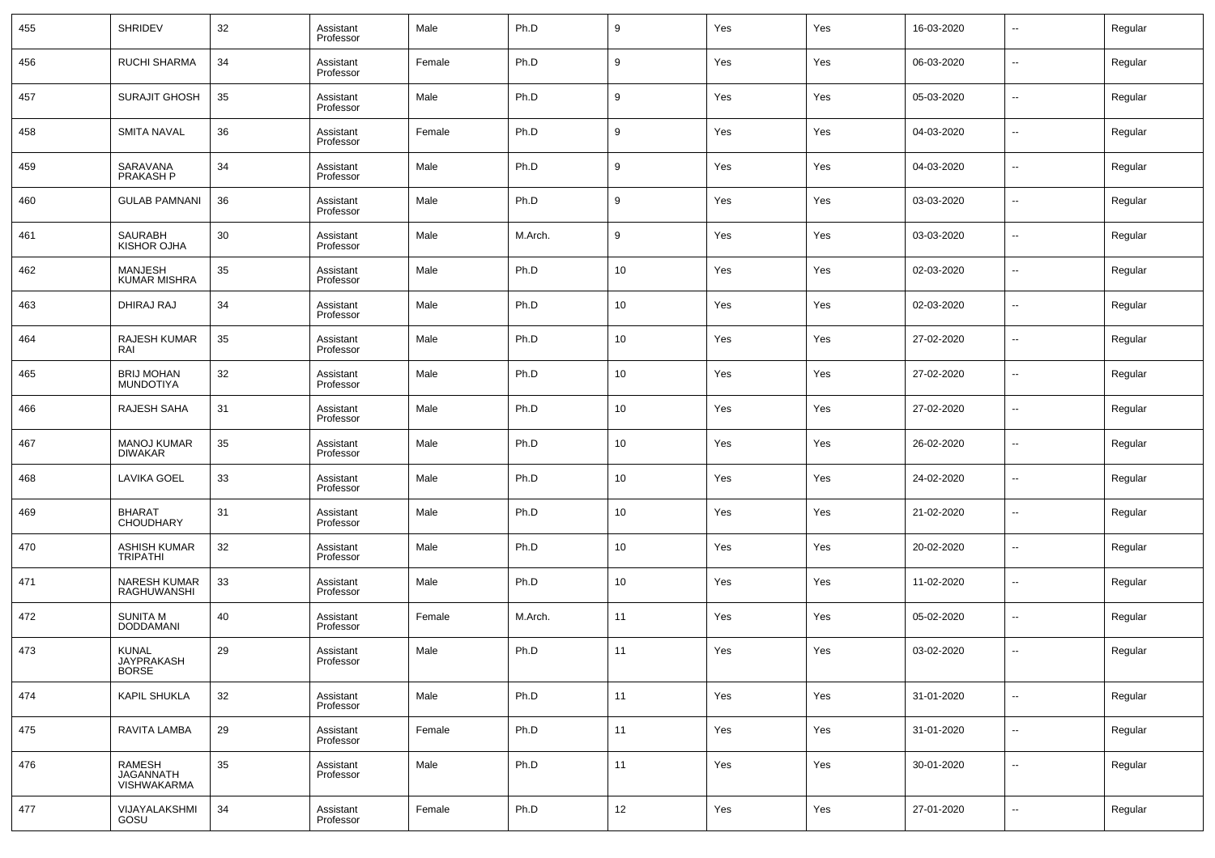| 455 | <b>SHRIDEV</b>                             | 32 | Assistant<br>Professor | Male   | Ph.D    | 9  | Yes | Yes | 16-03-2020 | ⊶.                       | Regular |
|-----|--------------------------------------------|----|------------------------|--------|---------|----|-----|-----|------------|--------------------------|---------|
| 456 | <b>RUCHI SHARMA</b>                        | 34 | Assistant<br>Professor | Female | Ph.D    | 9  | Yes | Yes | 06-03-2020 | $\overline{\phantom{a}}$ | Regular |
| 457 | <b>SURAJIT GHOSH</b>                       | 35 | Assistant<br>Professor | Male   | Ph.D    | 9  | Yes | Yes | 05-03-2020 | $\overline{\phantom{a}}$ | Regular |
| 458 | <b>SMITA NAVAL</b>                         | 36 | Assistant<br>Professor | Female | Ph.D    | 9  | Yes | Yes | 04-03-2020 | ⊶.                       | Regular |
| 459 | SARAVANA<br>PRAKASH P                      | 34 | Assistant<br>Professor | Male   | Ph.D    | 9  | Yes | Yes | 04-03-2020 | $\overline{\phantom{a}}$ | Regular |
| 460 | <b>GULAB PAMNANI</b>                       | 36 | Assistant<br>Professor | Male   | Ph.D    | 9  | Yes | Yes | 03-03-2020 | ⊶.                       | Regular |
| 461 | SAURABH<br>KISHOR OJHA                     | 30 | Assistant<br>Professor | Male   | M.Arch. | 9  | Yes | Yes | 03-03-2020 | ⊶.                       | Regular |
| 462 | MANJESH<br><b>KUMAR MISHRA</b>             | 35 | Assistant<br>Professor | Male   | Ph.D    | 10 | Yes | Yes | 02-03-2020 | $\overline{\phantom{a}}$ | Regular |
| 463 | DHIRAJ RAJ                                 | 34 | Assistant<br>Professor | Male   | Ph.D    | 10 | Yes | Yes | 02-03-2020 | ⊶.                       | Regular |
| 464 | <b>RAJESH KUMAR</b><br>RAI                 | 35 | Assistant<br>Professor | Male   | Ph.D    | 10 | Yes | Yes | 27-02-2020 | $\overline{\phantom{a}}$ | Regular |
| 465 | <b>BRIJ MOHAN</b><br><b>MUNDOTIYA</b>      | 32 | Assistant<br>Professor | Male   | Ph.D    | 10 | Yes | Yes | 27-02-2020 | $\overline{\phantom{a}}$ | Regular |
| 466 | <b>RAJESH SAHA</b>                         | 31 | Assistant<br>Professor | Male   | Ph.D    | 10 | Yes | Yes | 27-02-2020 | ⊶.                       | Regular |
| 467 | <b>MANOJ KUMAR</b><br><b>DIWAKAR</b>       | 35 | Assistant<br>Professor | Male   | Ph.D    | 10 | Yes | Yes | 26-02-2020 | $\overline{\phantom{a}}$ | Regular |
| 468 | <b>LAVIKA GOEL</b>                         | 33 | Assistant<br>Professor | Male   | Ph.D    | 10 | Yes | Yes | 24-02-2020 | $\overline{\phantom{a}}$ | Regular |
| 469 | <b>BHARAT</b><br><b>CHOUDHARY</b>          | 31 | Assistant<br>Professor | Male   | Ph.D    | 10 | Yes | Yes | 21-02-2020 | $\overline{\phantom{a}}$ | Regular |
| 470 | <b>ASHISH KUMAR</b><br><b>TRIPATHI</b>     | 32 | Assistant<br>Professor | Male   | Ph.D    | 10 | Yes | Yes | 20-02-2020 | $\overline{\phantom{a}}$ | Regular |
| 471 | <b>NARESH KUMAR</b><br>RAGHUWANSHI         | 33 | Assistant<br>Professor | Male   | Ph.D    | 10 | Yes | Yes | 11-02-2020 | --                       | Regular |
| 472 | <b>SUNITA M</b><br>DODDAMANI               | 40 | Assistant<br>Professor | Female | M.Arch. | 11 | Yes | Yes | 05-02-2020 | $\overline{\phantom{a}}$ | Regular |
| 473 | <b>KUNAL</b><br>JAYPRAKASH<br><b>BORSE</b> | 29 | Assistant<br>Professor | Male   | Ph.D    | 11 | Yes | Yes | 03-02-2020 | $\overline{a}$           | Regular |
| 474 | KAPIL SHUKLA                               | 32 | Assistant<br>Professor | Male   | Ph.D    | 11 | Yes | Yes | 31-01-2020 | н.                       | Regular |
| 475 | RAVITA LAMBA                               | 29 | Assistant<br>Professor | Female | Ph.D    | 11 | Yes | Yes | 31-01-2020 | н.                       | Regular |
| 476 | RAMESH<br>JAGANNATH<br>VISHWAKARMA         | 35 | Assistant<br>Professor | Male   | Ph.D    | 11 | Yes | Yes | 30-01-2020 | н.                       | Regular |
| 477 | VIJAYALAKSHMI<br>GOSU                      | 34 | Assistant<br>Professor | Female | Ph.D    | 12 | Yes | Yes | 27-01-2020 | $\overline{\phantom{a}}$ | Regular |